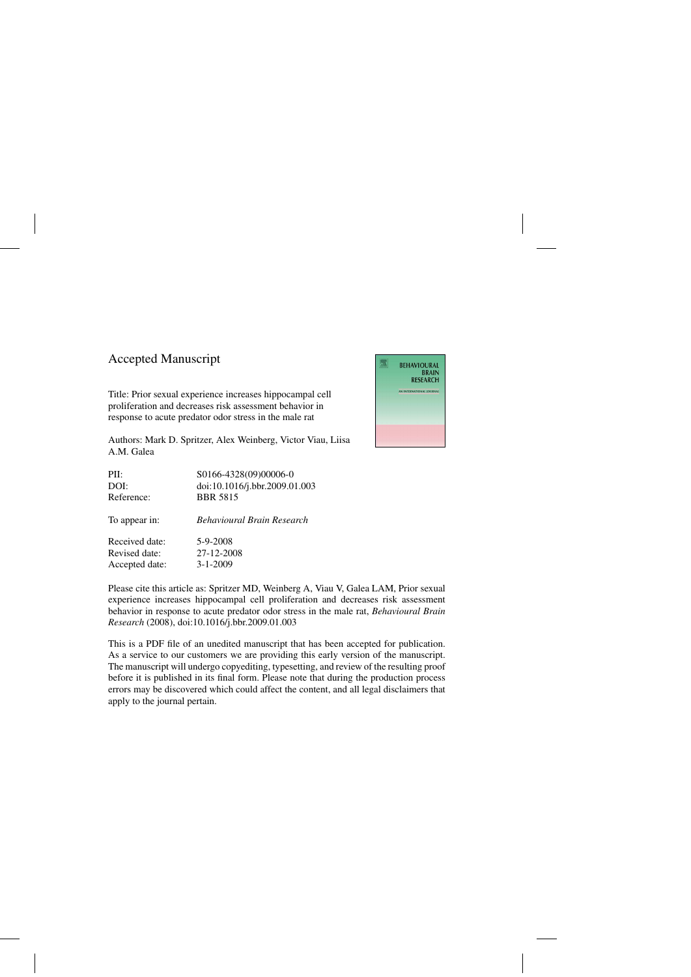## Accepted Manuscript

Title: Prior sexual experience increases hippocampal cell proliferation and decreases risk assessment behavior in response to acute predator odor stress in the male rat

Authors: Mark D. Spritzer, Alex Weinberg, Victor Viau, Liisa A.M. Galea

| PII:           | S0166-4328(09)00006-0             |
|----------------|-----------------------------------|
| DOI:           | doi:10.1016/j.bbr.2009.01.003     |
| Reference:     | <b>BBR 5815</b>                   |
| To appear in:  | <b>Behavioural Brain Research</b> |
| Received date: | 5-9-2008                          |
| Revised date:  | 27-12-2008                        |
| Accepted date: | $3 - 1 - 2009$                    |

Please cite this article as: Spritzer MD, Weinberg A, Viau V, Galea LAM, Prior sexual experience increases hippocampal cell proliferation and decreases risk assessment behavior in response to acute predator odor stress in the male rat, *Behavioural Brain Research* (2008), doi[:10.1016/j.bbr.2009.01.003](dx.doi.org/10.1016/j.bbr.2009.01.003)

This is a PDF file of an unedited manuscript that has been accepted for publication. As a service to our customers we are providing this early version of the manuscript. The manuscript will undergo copyediting, typesetting, and review of the resulting proof before it is published in its final form. Please note that during the production process errors may be discovered which could affect the content, and all legal disclaimers that apply to the journal pertain.

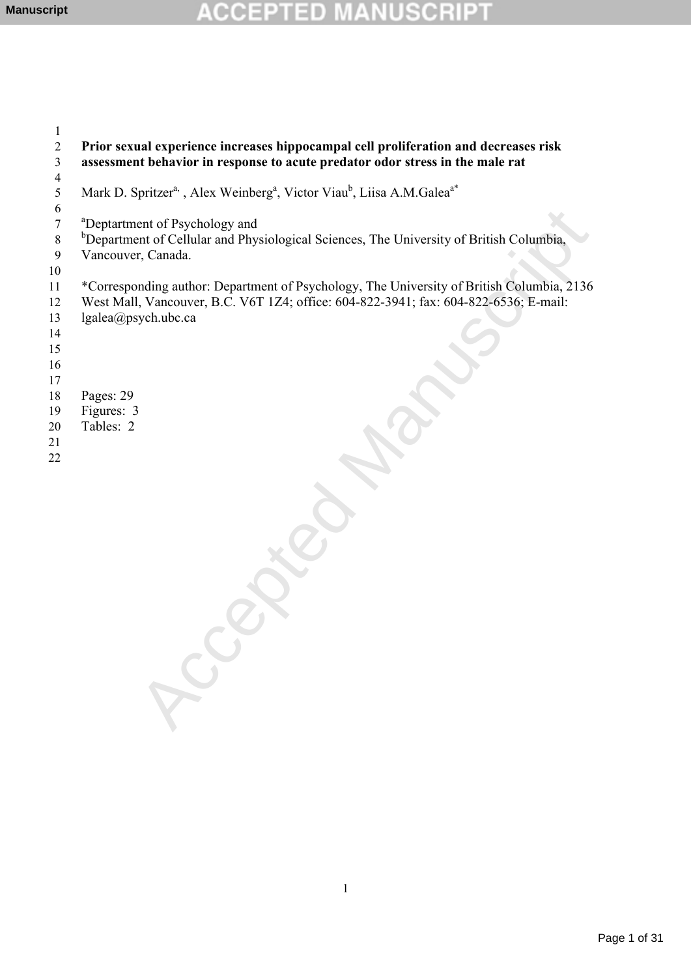# **ACCEPTED MANUSCRIPT**

| 1              |                                                                                                                                                                                                          |
|----------------|----------------------------------------------------------------------------------------------------------------------------------------------------------------------------------------------------------|
| 2              | Prior sexual experience increases hippocampal cell proliferation and decreases risk                                                                                                                      |
| 3              | assessment behavior in response to acute predator odor stress in the male rat                                                                                                                            |
| $\overline{4}$ |                                                                                                                                                                                                          |
| 5              | Mark D. Spritzer <sup>a,</sup> , Alex Weinberg <sup>a</sup> , Victor Viau <sup>b</sup> , Liisa A.M.Galea <sup>a*</sup>                                                                                   |
| 6              |                                                                                                                                                                                                          |
| 7              | <sup>a</sup> Deptartment of Psychology and                                                                                                                                                               |
| $\,8\,$        | <sup>b</sup> Department of Cellular and Physiological Sciences, The University of British Columbia,                                                                                                      |
| $\overline{9}$ | Vancouver, Canada.                                                                                                                                                                                       |
| 10             |                                                                                                                                                                                                          |
| 11<br>12<br>13 | *Corresponding author: Department of Psychology, The University of British Columbia, 2136<br>West Mall, Vancouver, B.C. V6T 1Z4; office: 604-822-3941; fax: 604-822-6536; E-mail:<br>lgalea@psych.ubc.ca |
| 14             |                                                                                                                                                                                                          |
| 15             |                                                                                                                                                                                                          |
| 16             |                                                                                                                                                                                                          |
| 17<br>18       | Pages: 29                                                                                                                                                                                                |
| 19             | Figures: 3                                                                                                                                                                                               |
| 20             | Tables: 2                                                                                                                                                                                                |
| 21             |                                                                                                                                                                                                          |
| 22             |                                                                                                                                                                                                          |
|                |                                                                                                                                                                                                          |
|                |                                                                                                                                                                                                          |
|                |                                                                                                                                                                                                          |
|                |                                                                                                                                                                                                          |
|                |                                                                                                                                                                                                          |
|                |                                                                                                                                                                                                          |
|                |                                                                                                                                                                                                          |
|                |                                                                                                                                                                                                          |
|                |                                                                                                                                                                                                          |
|                |                                                                                                                                                                                                          |
|                |                                                                                                                                                                                                          |
|                |                                                                                                                                                                                                          |
|                |                                                                                                                                                                                                          |
|                |                                                                                                                                                                                                          |
|                |                                                                                                                                                                                                          |
|                |                                                                                                                                                                                                          |
|                |                                                                                                                                                                                                          |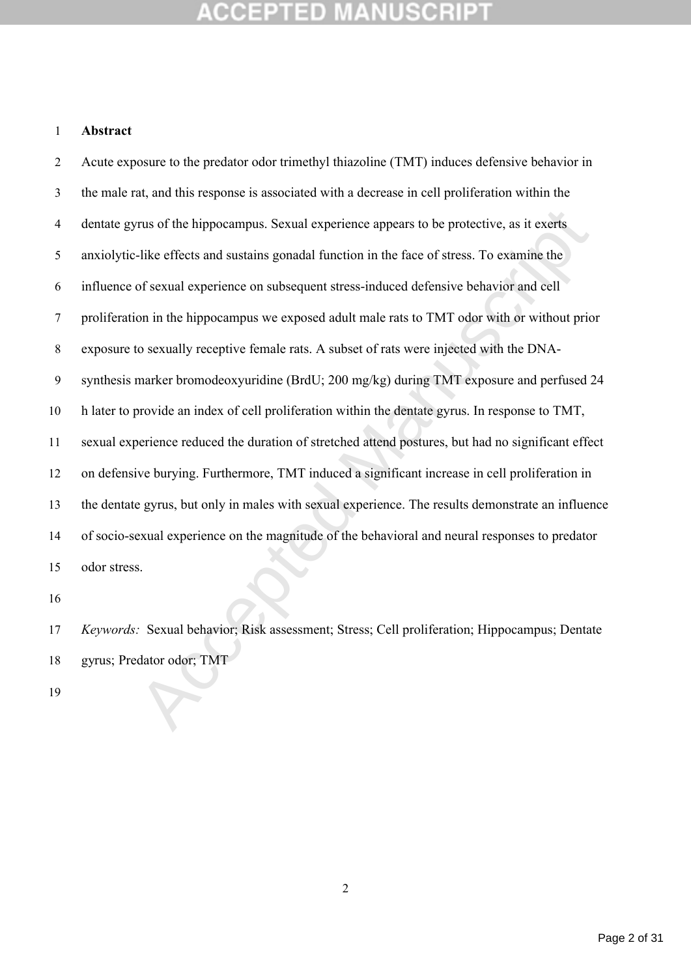## **Abstract**

rus of the hippocampus. Sexual experience appears to be protective, as it exerts -like effects and sustains gonadal function in the face of stress. To examine the of sexual experience on subsequent stress-induced defensive Acute exposure to the predator odor trimethyl thiazoline (TMT) induces defensive behavior in the male rat, and this response is associated with a decrease in cell proliferation within the dentate gyrus of the hippocampus. Sexual experience appears to be protective, as it exerts anxiolytic-like effects and sustains gonadal function in the face of stress. To examine the influence of sexual experience on subsequent stress-induced defensive behavior and cell proliferation in the hippocampus we exposed adult male rats to TMT odor with or without prior exposure to sexually receptive female rats. A subset of rats were injected with the DNA- synthesis marker bromodeoxyuridine (BrdU; 200 mg/kg) during TMT exposure and perfused 24 h later to provide an index of cell proliferation within the dentate gyrus. In response to TMT, sexual experience reduced the duration of stretched attend postures, but had no significant effect on defensive burying. Furthermore, TMT induced a significant increase in cell proliferation in the dentate gyrus, but only in males with sexual experience. The results demonstrate an influence of socio-sexual experience on the magnitude of the behavioral and neural responses to predator odor stress.

 *Keywords:* Sexual behavior; Risk assessment; Stress; Cell proliferation; Hippocampus; Dentate gyrus; Predator odor; TMT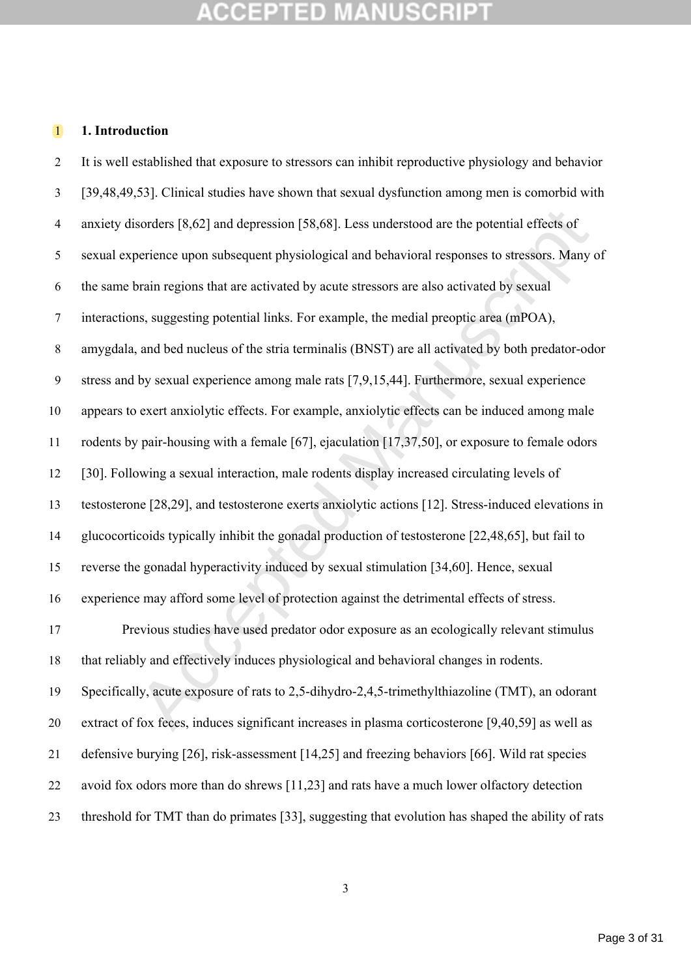## **1. Introduction**

sorders [8,62] and depression [58,68]. Less understood are the potential effects of<br>perience upon subsequent physiological and behavioral responses to stressors. Many<br>orain regions that are activated by acute stressors are It is well established that exposure to stressors can inhibit reproductive physiology and behavior [39,48,49,53]. Clinical studies have shown that sexual dysfunction among men is comorbid with anxiety disorders [8,62] and depression [58,68]. Less understood are the potential effects of sexual experience upon subsequent physiological and behavioral responses to stressors. Many of the same brain regions that are activated by acute stressors are also activated by sexual interactions, suggesting potential links. For example, the medial preoptic area (mPOA), amygdala, and bed nucleus of the stria terminalis (BNST) are all activated by both predator-odor stress and by sexual experience among male rats [7,9,15,44]. Furthermore, sexual experience appears to exert anxiolytic effects. For example, anxiolytic effects can be induced among male rodents by pair-housing with a female [67], ejaculation [17,37,50], or exposure to female odors [30]. Following a sexual interaction, male rodents display increased circulating levels of testosterone [28,29], and testosterone exerts anxiolytic actions [12]. Stress-induced elevations in glucocorticoids typically inhibit the gonadal production of testosterone [22,48,65], but fail to reverse the gonadal hyperactivity induced by sexual stimulation [34,60]. Hence, sexual experience may afford some level of protection against the detrimental effects of stress. Previous studies have used predator odor exposure as an ecologically relevant stimulus that reliably and effectively induces physiological and behavioral changes in rodents. Specifically, acute exposure of rats to 2,5-dihydro-2,4,5-trimethylthiazoline (TMT), an odorant extract of fox feces, induces significant increases in plasma corticosterone [9,40,59] as well as defensive burying [26], risk-assessment [14,25] and freezing behaviors [66]. Wild rat species avoid fox odors more than do shrews [11,23] and rats have a much lower olfactory detection threshold for TMT than do primates [33], suggesting that evolution has shaped the ability of rats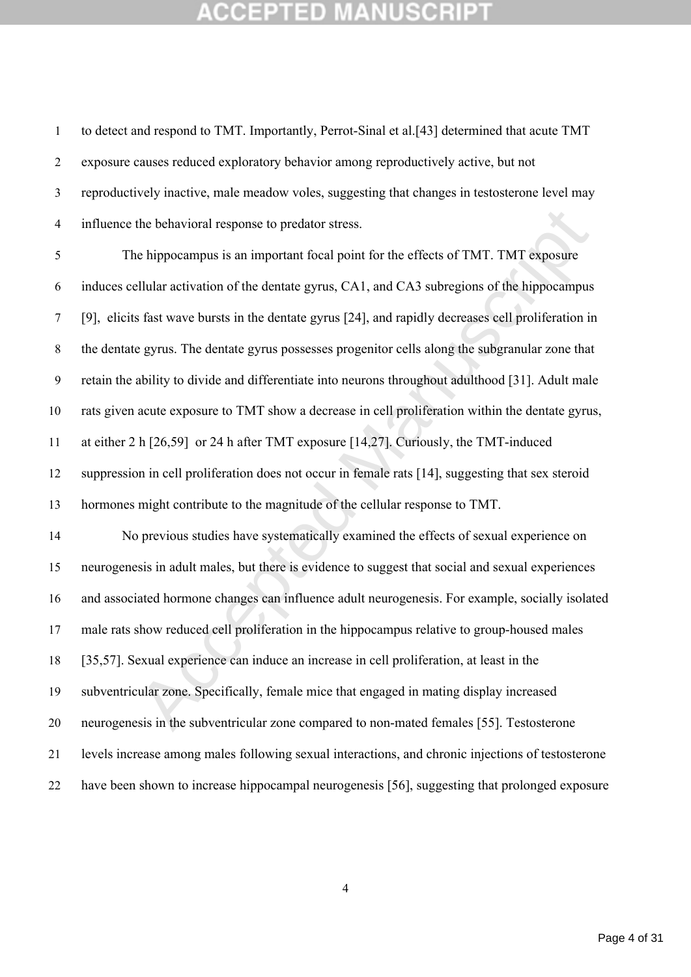to detect and respond to TMT. Importantly, Perrot-Sinal et al.[43] determined that acute TMT exposure causes reduced exploratory behavior among reproductively active, but not reproductively inactive, male meadow voles, suggesting that changes in testosterone level may influence the behavioral response to predator stress.

the behavioral response to predator stress.<br>
ale hippocampus is an important focal point for the effects of TMT. TMT exposure<br>
ellular activation of the dentate gyrus [24], and CA3 subregions of the hippocampus<br>
fast wave The hippocampus is an important focal point for the effects of TMT. TMT exposure induces cellular activation of the dentate gyrus, CA1, and CA3 subregions of the hippocampus [9], elicits fast wave bursts in the dentate gyrus [24], and rapidly decreases cell proliferation in the dentate gyrus. The dentate gyrus possesses progenitor cells along the subgranular zone that retain the ability to divide and differentiate into neurons throughout adulthood [31]. Adult male rats given acute exposure to TMT show a decrease in cell proliferation within the dentate gyrus, at either 2 h [26,59] or 24 h after TMT exposure [14,27]. Curiously, the TMT-induced suppression in cell proliferation does not occur in female rats [14], suggesting that sex steroid hormones might contribute to the magnitude of the cellular response to TMT. No previous studies have systematically examined the effects of sexual experience on neurogenesis in adult males, but there is evidence to suggest that social and sexual experiences and associated hormone changes can influence adult neurogenesis. For example, socially isolated male rats show reduced cell proliferation in the hippocampus relative to group-housed males [35,57]. Sexual experience can induce an increase in cell proliferation, at least in the subventricular zone. Specifically, female mice that engaged in mating display increased neurogenesis in the subventricular zone compared to non-mated females [55]. Testosterone levels increase among males following sexual interactions, and chronic injections of testosterone

have been shown to increase hippocampal neurogenesis [56], suggesting that prolonged exposure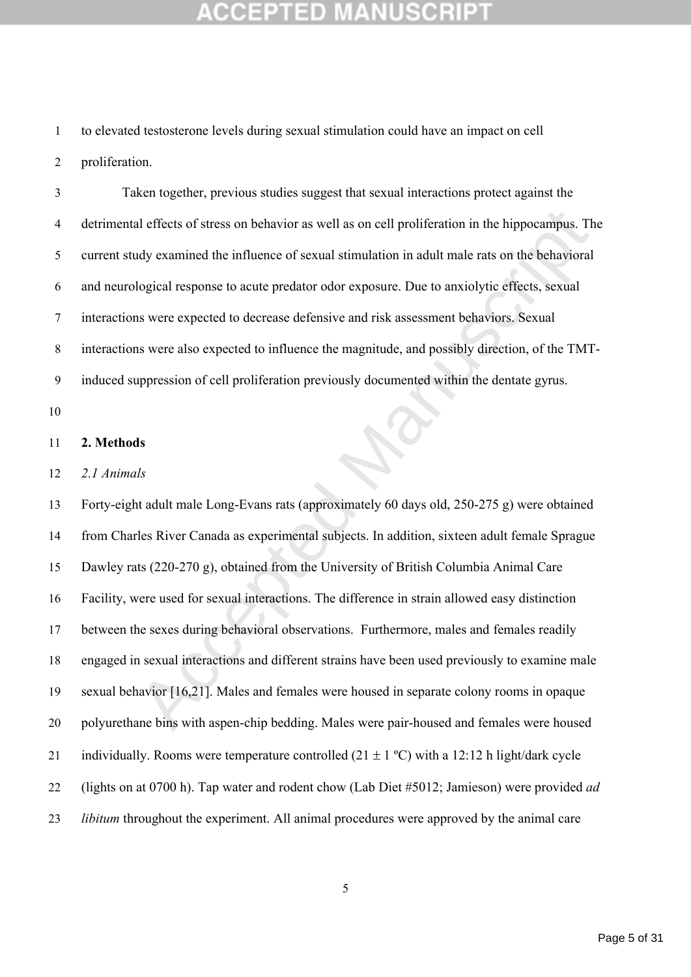to elevated testosterone levels during sexual stimulation could have an impact on cell proliferation.

 Taken together, previous studies suggest that sexual interactions protect against the detrimental effects of stress on behavior as well as on cell proliferation in the hippocampus. The current study examined the influence of sexual stimulation in adult male rats on the behavioral and neurological response to acute predator odor exposure. Due to anxiolytic effects, sexual interactions were expected to decrease defensive and risk assessment behaviors. Sexual interactions were also expected to influence the magnitude, and possibly direction, of the TMT-induced suppression of cell proliferation previously documented within the dentate gyrus.

### **2. Methods**

## *2.1 Animals*

al effects of stress on behavior as well as on cell proliferation in the hippocampus. The<br>dy examined the influence of sexual stimulation in adult male rats on the behavioral<br>logical response to acute predator odor exposur Forty-eight adult male Long-Evans rats (approximately 60 days old, 250-275 g) were obtained from Charles River Canada as experimental subjects. In addition, sixteen adult female Sprague Dawley rats (220-270 g), obtained from the University of British Columbia Animal Care Facility, were used for sexual interactions. The difference in strain allowed easy distinction between the sexes during behavioral observations. Furthermore, males and females readily engaged in sexual interactions and different strains have been used previously to examine male sexual behavior [16,21]. Males and females were housed in separate colony rooms in opaque polyurethane bins with aspen-chip bedding. Males were pair-housed and females were housed 21 individually. Rooms were temperature controlled  $(21 \pm 1 \degree C)$  with a 12:12 h light/dark cycle (lights on at 0700 h). Tap water and rodent chow (Lab Diet #5012; Jamieson) were provided *ad libitum* throughout the experiment. All animal procedures were approved by the animal care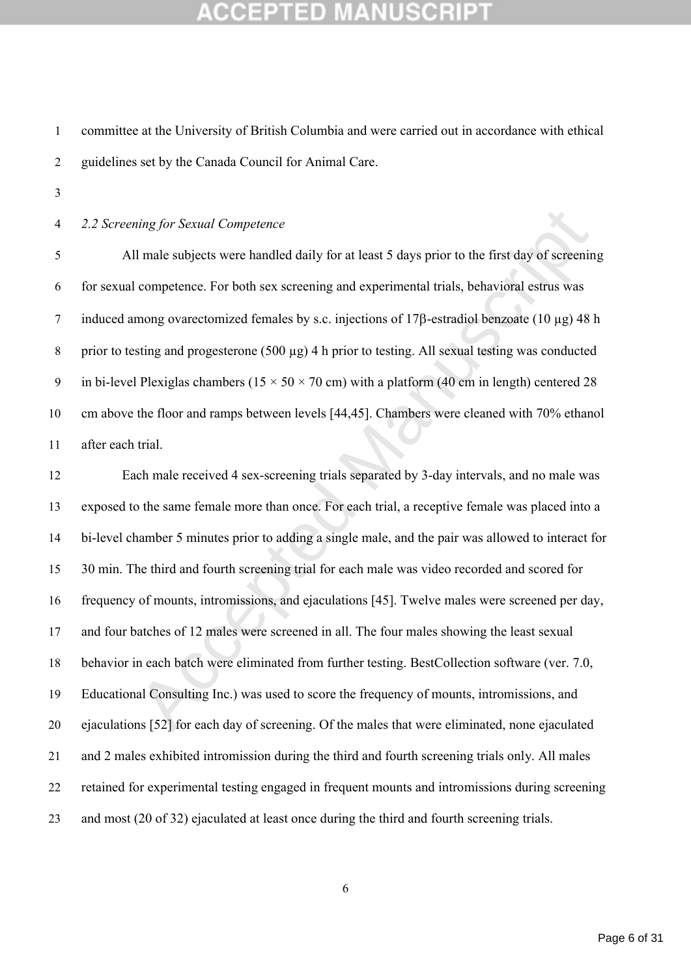committee at the University of British Columbia and were carried out in accordance with ethical guidelines set by the Canada Council for Animal Care.

## *2.2 Screening for Sexual Competence*

 All male subjects were handled daily for at least 5 days prior to the first day of screening for sexual competence. For both sex screening and experimental trials, behavioral estrus was 7 induced among ovarectomized females by s.c. injections of  $17\beta$ -estradiol benzoate (10 µg) 48 h prior to testing and progesterone (500 µg) 4 h prior to testing. All sexual testing was conducted 9 in bi-level Plexiglas chambers ( $15 \times 50 \times 70$  cm) with a platform (40 cm in length) centered 28 cm above the floor and ramps between levels [44,45]. Chambers were cleaned with 70% ethanol after each trial.

*ting for Sexual Competence*<br>
I male subjects were handled daily for at least 5 days prior to the first day of screenin<br>
competence. For both sex screening and experimental trials, behavioral estrus was<br>
mong ovarectomize Each male received 4 sex-screening trials separated by 3-day intervals, and no male was exposed to the same female more than once. For each trial, a receptive female was placed into a bi-level chamber 5 minutes prior to adding a single male, and the pair was allowed to interact for 30 min. The third and fourth screening trial for each male was video recorded and scored for frequency of mounts, intromissions, and ejaculations [45]. Twelve males were screened per day, and four batches of 12 males were screened in all. The four males showing the least sexual behavior in each batch were eliminated from further testing. BestCollection software (ver. 7.0, Educational Consulting Inc.) was used to score the frequency of mounts, intromissions, and ejaculations [52] for each day of screening. Of the males that were eliminated, none ejaculated and 2 males exhibited intromission during the third and fourth screening trials only. All males retained for experimental testing engaged in frequent mounts and intromissions during screening and most (20 of 32) ejaculated at least once during the third and fourth screening trials.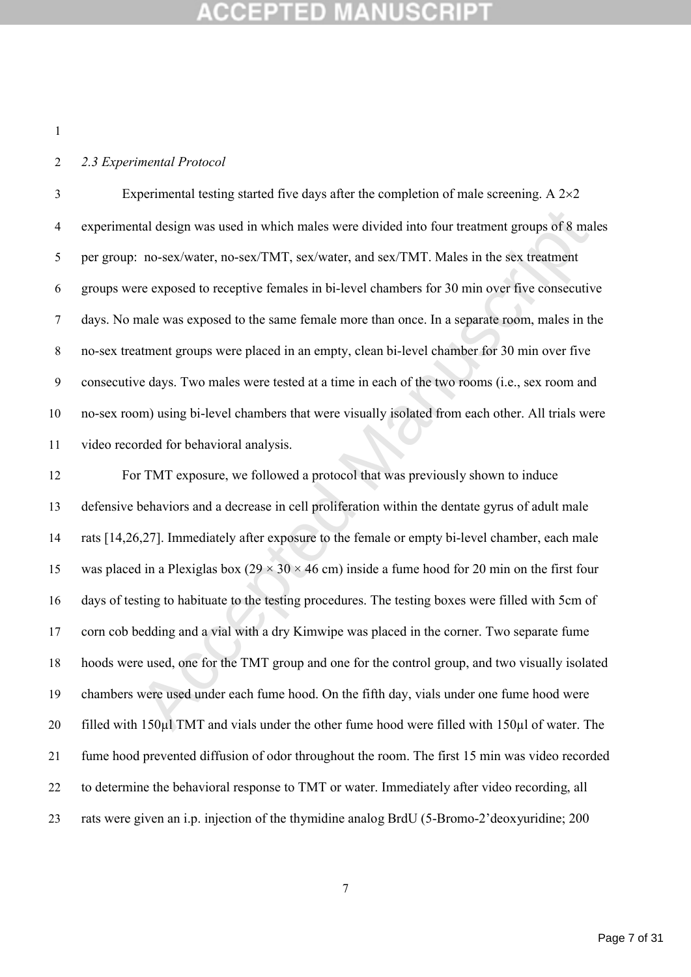## *2.3 Experimental Protocol*

3 Experimental testing started five days after the completion of male screening. A  $2\times 2$  experimental design was used in which males were divided into four treatment groups of 8 males per group: no-sex/water, no-sex/TMT, sex/water, and sex/TMT. Males in the sex treatment groups were exposed to receptive females in bi-level chambers for 30 min over five consecutive days. No male was exposed to the same female more than once. In a separate room, males in the no-sex treatment groups were placed in an empty, clean bi-level chamber for 30 min over five consecutive days. Two males were tested at a time in each of the two rooms (i.e., sex room and no-sex room) using bi-level chambers that were visually isolated from each other. All trials were video recorded for behavioral analysis.

atal design was used in which males were divided into four treatment groups of 8 mal<br>
acceptive from the sexted Manuscript (Sexted Manuscript Telessis in the sexted Manuscript of 8 mal<br>
are exposed to receptive females in For TMT exposure, we followed a protocol that was previously shown to induce defensive behaviors and a decrease in cell proliferation within the dentate gyrus of adult male rats [14,26,27]. Immediately after exposure to the female or empty bi-level chamber, each male 15 was placed in a Plexiglas box  $(29 \times 30 \times 46$  cm) inside a fume hood for 20 min on the first four days of testing to habituate to the testing procedures. The testing boxes were filled with 5cm of corn cob bedding and a vial with a dry Kimwipe was placed in the corner. Two separate fume hoods were used, one for the TMT group and one for the control group, and two visually isolated chambers were used under each fume hood. On the fifth day, vials under one fume hood were filled with 150µl TMT and vials under the other fume hood were filled with 150µl of water. The fume hood prevented diffusion of odor throughout the room. The first 15 min was video recorded to determine the behavioral response to TMT or water. Immediately after video recording, all rats were given an i.p. injection of the thymidine analog BrdU (5-Bromo-2'deoxyuridine; 200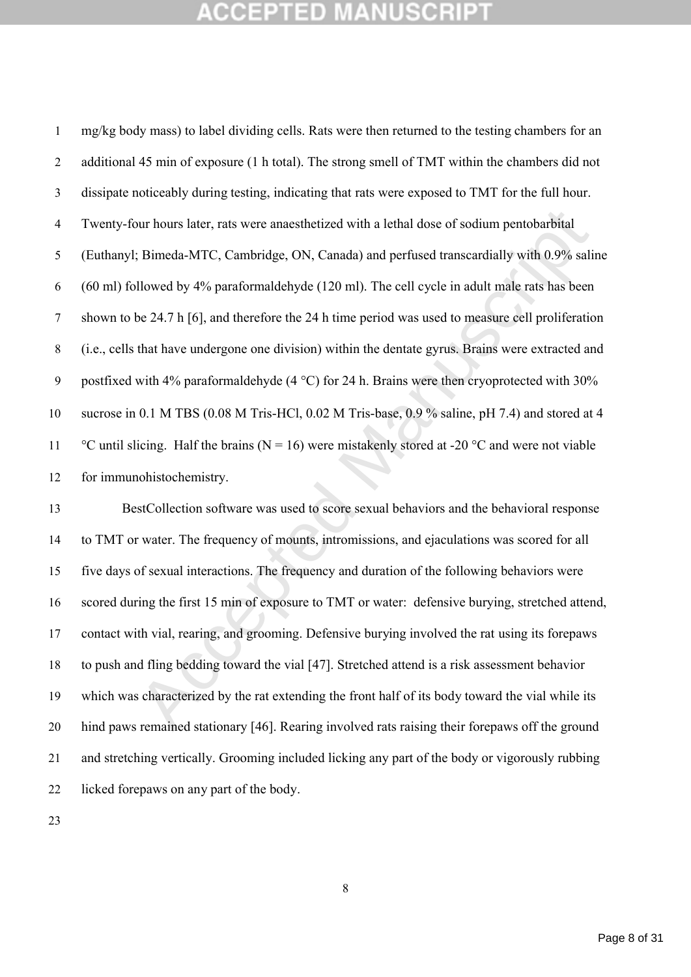our hours later, rats were anaesthetized with a lethal dose of sodium pentobarbital<br>
(Bimeda-MTC, Cambridge, ON, Canada) and perfused transcardially with 0.9% salin<br>
llowed by 4% paraformaldehyde (120 ml). The cell cycle i mg/kg body mass) to label dividing cells. Rats were then returned to the testing chambers for an 2 additional 45 min of exposure (1 h total). The strong smell of TMT within the chambers did not dissipate noticeably during testing, indicating that rats were exposed to TMT for the full hour. Twenty-four hours later, rats were anaesthetized with a lethal dose of sodium pentobarbital (Euthanyl; Bimeda-MTC, Cambridge, ON, Canada) and perfused transcardially with 0.9% saline (60 ml) followed by 4% paraformaldehyde (120 ml). The cell cycle in adult male rats has been shown to be 24.7 h [6], and therefore the 24 h time period was used to measure cell proliferation (i.e., cells that have undergone one division) within the dentate gyrus. Brains were extracted and 9 postfixed with 4% paraformaldehyde (4  $^{\circ}$ C) for 24 h. Brains were then cryoprotected with 30% sucrose in 0.1 M TBS (0.08 M Tris-HCl, 0.02 M Tris-base, 0.9 % saline, pH 7.4) and stored at 4 11 °C until slicing. Half the brains (N = 16) were mistakenly stored at -20 °C and were not viable for immunohistochemistry.

 BestCollection software was used to score sexual behaviors and the behavioral response to TMT or water. The frequency of mounts, intromissions, and ejaculations was scored for all five days of sexual interactions. The frequency and duration of the following behaviors were scored during the first 15 min of exposure to TMT or water: defensive burying, stretched attend, contact with vial, rearing, and grooming. Defensive burying involved the rat using its forepaws to push and fling bedding toward the vial [47]. Stretched attend is a risk assessment behavior which was characterized by the rat extending the front half of its body toward the vial while its hind paws remained stationary [46]. Rearing involved rats raising their forepaws off the ground and stretching vertically. Grooming included licking any part of the body or vigorously rubbing licked forepaws on any part of the body.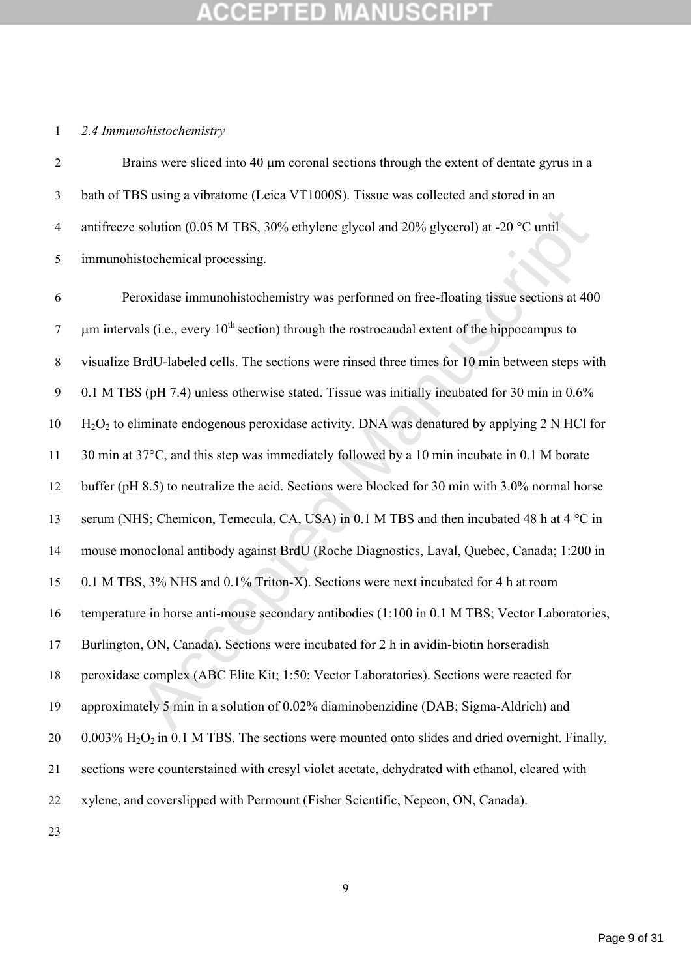## *2.4 Immunohistochemistry*

2 Brains were sliced into 40  $\mu$ m coronal sections through the extent of dentate gyrus in a bath of TBS using a vibratome (Leica VT1000S). Tissue was collected and stored in an 4 antifreeze solution (0.05 M TBS, 30% ethylene glycol and 20% glycerol) at -20  $^{\circ}$ C until immunohistochemical processing.

solution (0.05 M TBS, 30% ethylene glycol and 20% glycerol) at -20 °C until<br>istochemical processing.<br>
roxidase immunohistochemistry was performed on free-floating tissue sections at 400<br>
als (i.e., every 10<sup>th</sup> section) th Peroxidase immunohistochemistry was performed on free-floating tissue sections at 400 7 um intervals (i.e., every  $10^{th}$  section) through the rostrocaudal extent of the hippocampus to visualize BrdU-labeled cells. The sections were rinsed three times for 10 min between steps with 0.1 M TBS (pH 7.4) unless otherwise stated. Tissue was initially incubated for 30 min in 0.6% H<sub>2</sub>O<sub>2</sub> to eliminate endogenous peroxidase activity. DNA was denatured by applying 2 N HCl for 11 30 min at 37°C, and this step was immediately followed by a 10 min incubate in 0.1 M borate buffer (pH 8.5) to neutralize the acid. Sections were blocked for 30 min with 3.0% normal horse 13 serum (NHS; Chemicon, Temecula, CA, USA) in 0.1 M TBS and then incubated 48 h at 4  $^{\circ}$ C in mouse monoclonal antibody against BrdU (Roche Diagnostics, Laval, Quebec, Canada; 1:200 in 0.1 M TBS, 3% NHS and 0.1% Triton-X). Sections were next incubated for 4 h at room temperature in horse anti-mouse secondary antibodies (1:100 in 0.1 M TBS; Vector Laboratories, Burlington, ON, Canada). Sections were incubated for 2 h in avidin-biotin horseradish peroxidase complex (ABC Elite Kit; 1:50; Vector Laboratories). Sections were reacted for approximately 5 min in a solution of 0.02% diaminobenzidine (DAB; Sigma-Aldrich) and  $0.003\%$  H<sub>2</sub>O<sub>2</sub> in 0.1 M TBS. The sections were mounted onto slides and dried overnight. Finally, sections were counterstained with cresyl violet acetate, dehydrated with ethanol, cleared with xylene, and coverslipped with Permount (Fisher Scientific, Nepeon, ON, Canada).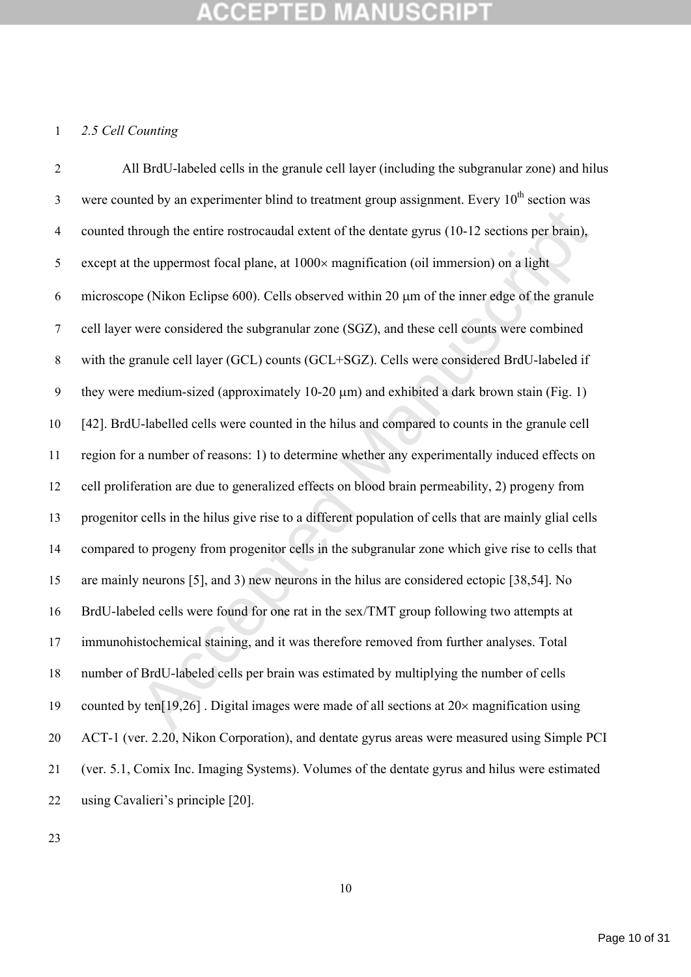## *2.5 Cell Counting*

arough the entire rostrocaudal extent of the dentate gyrus (10-12 sections per brain),<br>the uppermost focal plane, at 1000× magnification (oil immersion) on a light<br>ee (Nikon Eclipse 600). Cells observed within 20 µm of th All BrdU-labeled cells in the granule cell layer (including the subgranular zone) and hilus were counted by an experimenter blind to treatment group assignment. Every  $10<sup>th</sup>$  section was counted through the entire rostrocaudal extent of the dentate gyrus (10-12 sections per brain), 5 except at the uppermost focal plane, at  $1000 \times$  magnification (oil immersion) on a light 6 microscope (Nikon Eclipse 600). Cells observed within 20  $\mu$ m of the inner edge of the granule cell layer were considered the subgranular zone (SGZ), and these cell counts were combined with the granule cell layer (GCL) counts (GCL+SGZ). Cells were considered BrdU-labeled if 9 they were medium-sized (approximately  $10-20 \mu m$ ) and exhibited a dark brown stain (Fig. 1) [42]. BrdU-labelled cells were counted in the hilus and compared to counts in the granule cell region for a number of reasons: 1) to determine whether any experimentally induced effects on cell proliferation are due to generalized effects on blood brain permeability, 2) progeny from progenitor cells in the hilus give rise to a different population of cells that are mainly glial cells compared to progeny from progenitor cells in the subgranular zone which give rise to cells that are mainly neurons [5], and 3) new neurons in the hilus are considered ectopic [38,54]. No BrdU-labeled cells were found for one rat in the sex/TMT group following two attempts at immunohistochemical staining, and it was therefore removed from further analyses. Total number of BrdU-labeled cells per brain was estimated by multiplying the number of cells 19 counted by ten[19,26]. Digital images were made of all sections at  $20 \times$  magnification using ACT-1 (ver. 2.20, Nikon Corporation), and dentate gyrus areas were measured using Simple PCI (ver. 5.1, Comix Inc. Imaging Systems). Volumes of the dentate gyrus and hilus were estimated using Cavalieri's principle [20].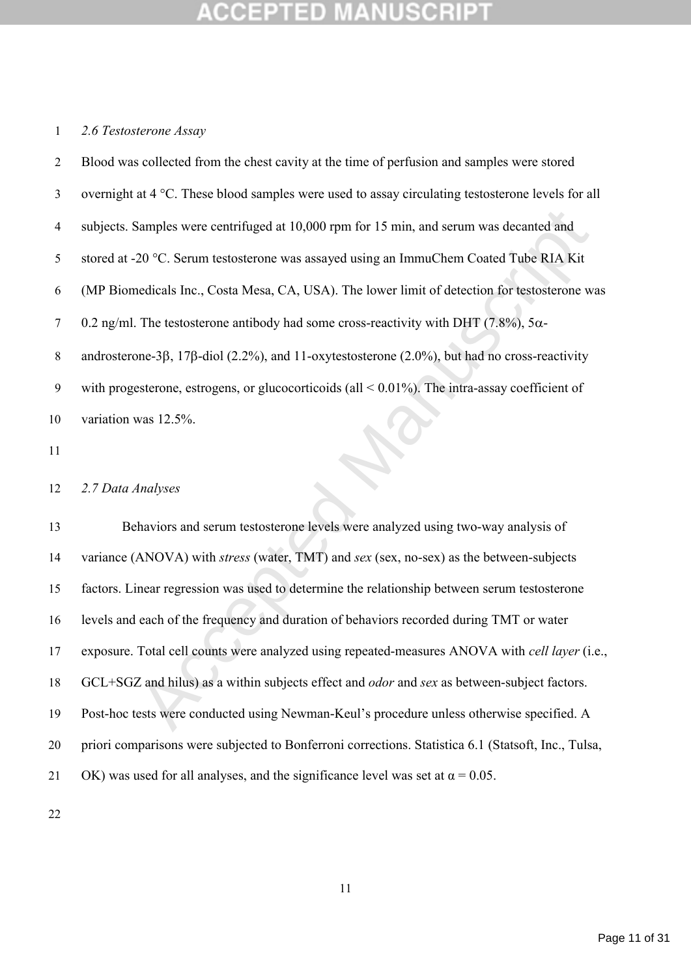## *2.6 Testosterone Assay*

| $\overline{2}$ | Blood was collected from the chest cavity at the time of perfusion and samples were stored                   |
|----------------|--------------------------------------------------------------------------------------------------------------|
| $\mathfrak{Z}$ | overnight at 4 °C. These blood samples were used to assay circulating testosterone levels for all            |
| $\overline{4}$ | subjects. Samples were centrifuged at 10,000 rpm for 15 min, and serum was decanted and                      |
| 5              | stored at -20 °C. Serum testosterone was assayed using an ImmuChem Coated Tube RIA Kit                       |
| 6              | (MP Biomedicals Inc., Costa Mesa, CA, USA). The lower limit of detection for testosterone was                |
| $\tau$         | 0.2 ng/ml. The testosterone antibody had some cross-reactivity with DHT (7.8%), $5\alpha$ -                  |
| 8              | androsterone- $3\beta$ , 17 $\beta$ -diol (2.2%), and 11-oxytestosterone (2.0%), but had no cross-reactivity |
| 9              | with progesterone, estrogens, or glucocorticoids (all $\leq 0.01\%$ ). The intra-assay coefficient of        |
| 10             | variation was 12.5%.                                                                                         |
| 11             |                                                                                                              |
| 12             | 2.7 Data Analyses                                                                                            |
| 13             | Behaviors and serum testosterone levels were analyzed using two-way analysis of                              |
| 14             | variance (ANOVA) with <i>stress</i> (water, TMT) and <i>sex</i> (sex, no-sex) as the between-subjects        |
| 15             | factors. Linear regression was used to determine the relationship between serum testosterone                 |
| 16             | levels and each of the frequency and duration of behaviors recorded during TMT or water                      |
| 17             | exposure. Total cell counts were analyzed using repeated-measures ANOVA with <i>cell layer</i> (i.e.,        |
| 18             | GCL+SGZ and hilus) as a within subjects effect and <i>odor</i> and sex as between-subject factors.           |
| 19             | Post-hoc tests were conducted using Newman-Keul's procedure unless otherwise specified. A                    |
|                |                                                                                                              |

## *2.7 Data Analyses*

 Behaviors and serum testosterone levels were analyzed using two-way analysis of variance (ANOVA) with *stress* (water, TMT) and *sex* (sex, no-sex) as the between-subjects factors. Linear regression was used to determine the relationship between serum testosterone levels and each of the frequency and duration of behaviors recorded during TMT or water exposure. Total cell counts were analyzed using repeated-measures ANOVA with *cell layer* (i.e., GCL+SGZ and hilus) as a within subjects effect and *odor* and *sex* as between-subject factors. Post-hoc tests were conducted using Newman-Keul's procedure unless otherwise specified. A priori comparisons were subjected to Bonferroni corrections. Statistica 6.1 (Statsoft, Inc., Tulsa, 21 OK) was used for all analyses, and the significance level was set at  $\alpha = 0.05$ .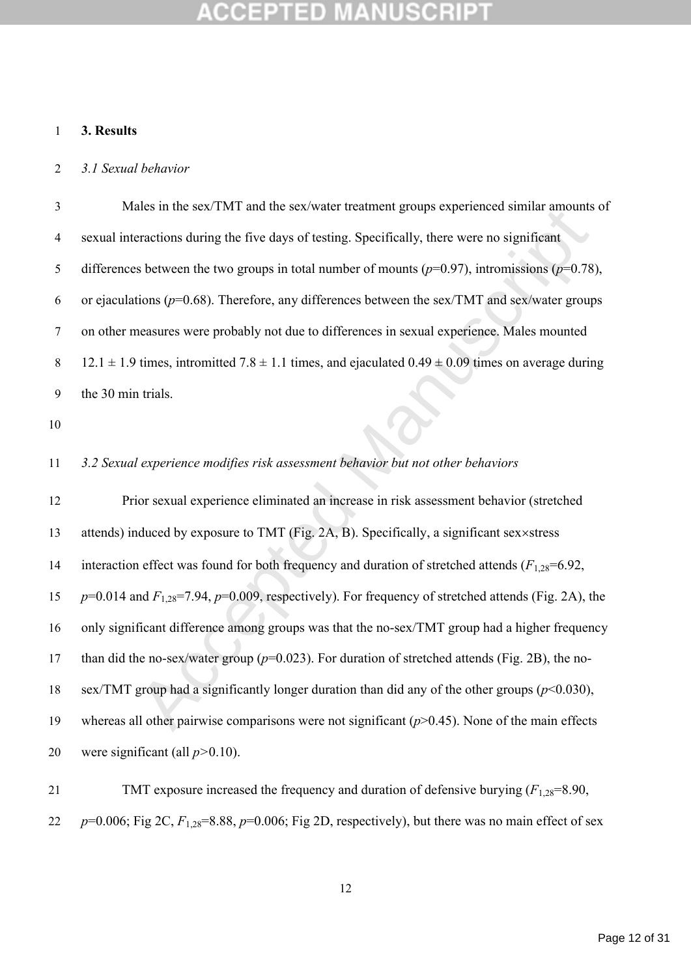## **3. Results**

### *3.1 Sexual behavior*

 Males in the sex/TMT and the sex/water treatment groups experienced similar amounts of sexual interactions during the five days of testing. Specifically, there were no significant differences between the two groups in total number of mounts (*p*=0.97), intromissions (*p*=0.78), or ejaculations (*p*=0.68). Therefore, any differences between the sex/TMT and sex/water groups on other measures were probably not due to differences in sexual experience. Males mounted 8 12.1  $\pm$  1.9 times, intromitted 7.8  $\pm$  1.1 times, and ejaculated 0.49  $\pm$  0.09 times on average during the 30 min trials.

## *3.2 Sexual experience modifies risk assessment behavior but not other behaviors*

ates in the sex/1971 and the sex/water treatment groups experienced similar amounts<br>reactions during the five days of testing. Specifically, there were no significant<br>s between the two groups in total number of mounts ( $p$  Prior sexual experience eliminated an increase in risk assessment behavior (stretched 13 attends) induced by exposure to TMT (Fig. 2A, B). Specifically, a significant sex×stress 14 interaction effect was found for both frequency and duration of stretched attends ( $F_{1,28}=6.92$ , *p*=0.014 and *F*1,28=7.94, *p*=0.009, respectively). For frequency of stretched attends (Fig. 2A), the only significant difference among groups was that the no-sex/TMT group had a higher frequency than did the no-sex/water group (*p*=0.023). For duration of stretched attends (Fig. 2B), the no- sex/TMT group had a significantly longer duration than did any of the other groups (*p*<0.030), 19 whereas all other pairwise comparisons were not significant ( $p$ >0.45). None of the main effects were significant (all *p>*0.10).

21 TMT exposure increased the frequency and duration of defensive burying  $(F_{1,28}=8.90,$ 22  $p=0.006$ ; Fig 2C,  $F_{1,28}=8.88$ ,  $p=0.006$ ; Fig 2D, respectively), but there was no main effect of sex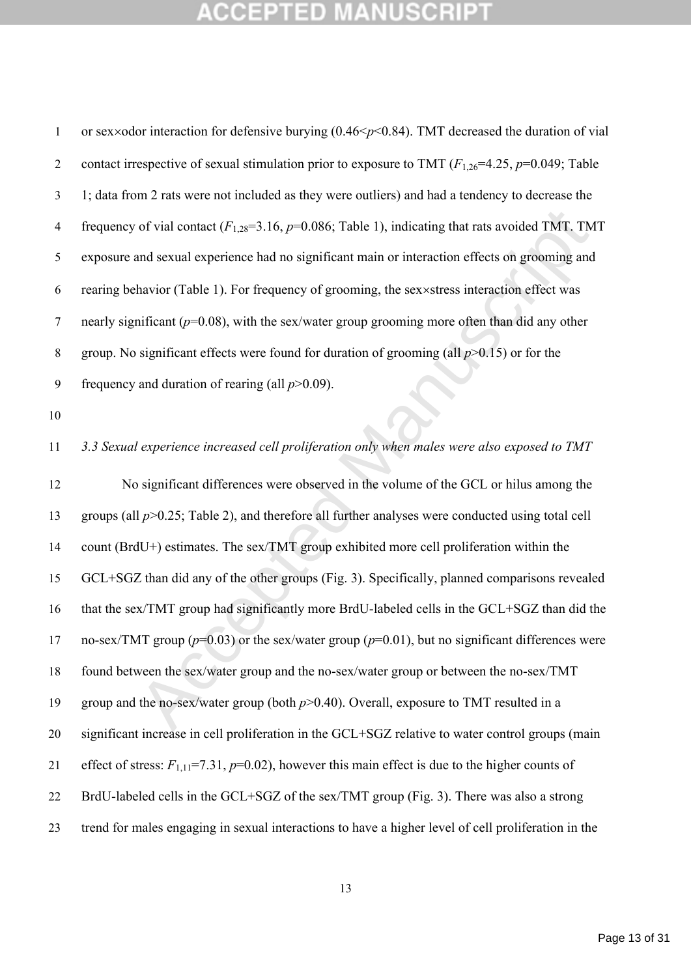of vial contact  $(F_{1,28}=3.16, p=0.086$ ; Table 1), indicating that rats avoided TMT. TM<br>and sexual experience had no significant main or interaction effects on grooming and<br>havior (Table 1). For frequency of grooming, the s 1 or sex×odor interaction for defensive burying (0.46 <  $p$  < 0.84). TMT decreased the duration of vial 2 contact irrespective of sexual stimulation prior to exposure to TMT  $(F_{1,26}=4.25, p=0.049;$  Table 1; data from 2 rats were not included as they were outliers) and had a tendency to decrease the frequency of vial contact (*F*1,28=3.16, *p*=0.086; Table 1), indicating that rats avoided TMT. TMT exposure and sexual experience had no significant main or interaction effects on grooming and rearing behavior (Table 1). For frequency of grooming, the sexstress interaction effect was nearly significant (*p*=0.08), with the sex/water group grooming more often than did any other group. No significant effects were found for duration of grooming (all *p*>0.15) or for the frequency and duration of rearing (all *p*>0.09). *3.3 Sexual experience increased cell proliferation only when males were also exposed to TMT* No significant differences were observed in the volume of the GCL or hilus among the groups (all *p*>0.25; Table 2), and therefore all further analyses were conducted using total cell count (BrdU+) estimates. The sex/TMT group exhibited more cell proliferation within the GCL+SGZ than did any of the other groups (Fig. 3). Specifically, planned comparisons revealed that the sex/TMT group had significantly more BrdU-labeled cells in the GCL+SGZ than did the no-sex/TMT group (*p*=0.03) or the sex/water group (*p*=0.01), but no significant differences were found between the sex/water group and the no-sex/water group or between the no-sex/TMT group and the no-sex/water group (both *p*>0.40). Overall, exposure to TMT resulted in a significant increase in cell proliferation in the GCL+SGZ relative to water control groups (main effect of stress: *F*1,11=7.31, *p*=0.02), however this main effect is due to the higher counts of BrdU-labeled cells in the GCL+SGZ of the sex/TMT group (Fig. 3). There was also a strong trend for males engaging in sexual interactions to have a higher level of cell proliferation in the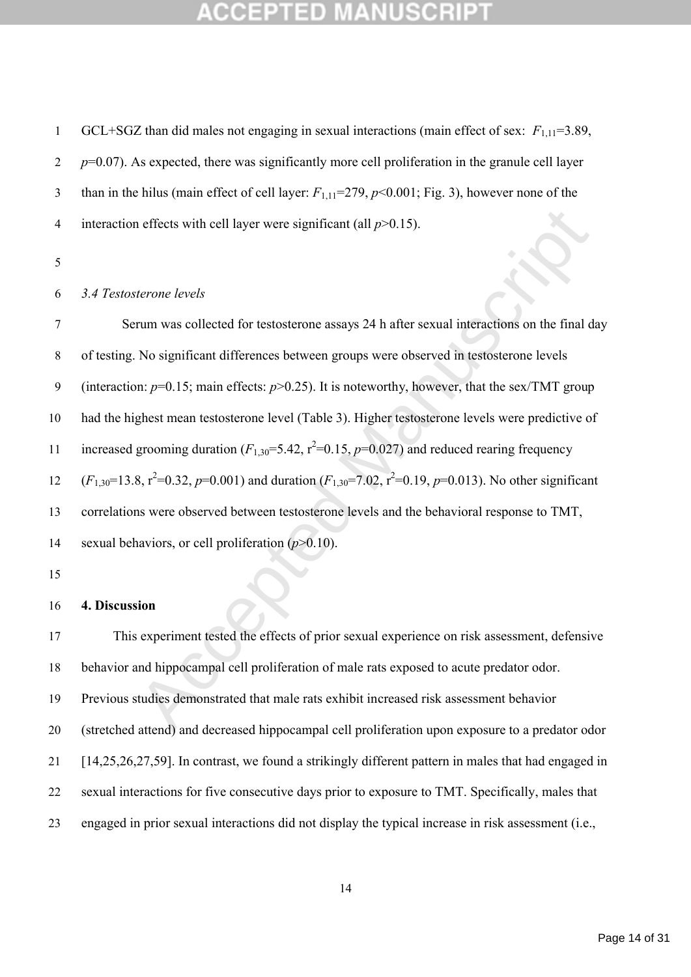GCL+SGZ than did males not engaging in sexual interactions (main effect of sex: *F*1,11=3.89, *p*=0.07). As expected, there was significantly more cell proliferation in the granule cell layer than in the hilus (main effect of cell layer: *F*1,11=279, *p*<0.001; Fig. 3), however none of the interaction effects with cell layer were significant (all *p*>0.15).

## *3.4 Testosterone levels*

and effects with cell layer were significant (all  $p>0.15$ ).<br>
Herone levels<br>
rum was collected for testosterone assays 24 h after sexual interactions on the final d:<br>
No significant differences between groups were observe Serum was collected for testosterone assays 24 h after sexual interactions on the final day of testing. No significant differences between groups were observed in testosterone levels (interaction: *p*=0.15; main effects: *p*>0.25). It is noteworthy, however, that the sex/TMT group had the highest mean testosterone level (Table 3). Higher testosterone levels were predictive of increased grooming duration  $(F_{1,30} = 5.42, r^2 = 0.15, p = 0.027)$  and reduced rearing frequency  $(F_{1,30}=13.8, r^2=0.32, p=0.001)$  and duration  $(F_{1,30}=7.02, r^2=0.19, p=0.013)$ . No other significant correlations were observed between testosterone levels and the behavioral response to TMT, sexual behaviors, or cell proliferation (*p*>0.10).

## **4. Discussion**

 This experiment tested the effects of prior sexual experience on risk assessment, defensive behavior and hippocampal cell proliferation of male rats exposed to acute predator odor. Previous studies demonstrated that male rats exhibit increased risk assessment behavior (stretched attend) and decreased hippocampal cell proliferation upon exposure to a predator odor [14,25,26,27,59]. In contrast, we found a strikingly different pattern in males that had engaged in sexual interactions for five consecutive days prior to exposure to TMT. Specifically, males that engaged in prior sexual interactions did not display the typical increase in risk assessment (i.e.,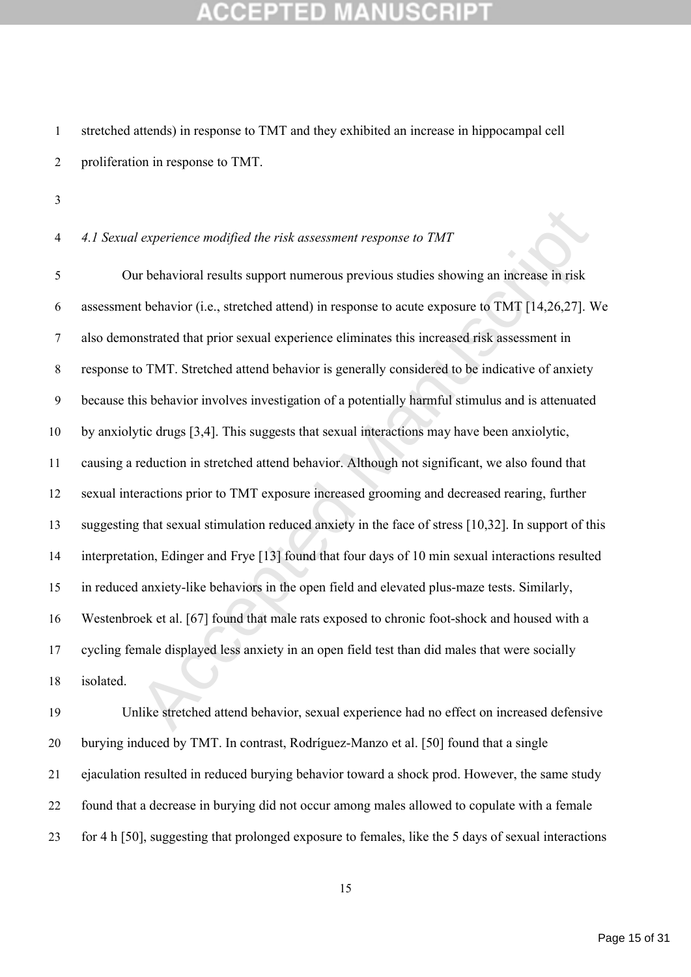stretched attends) in response to TMT and they exhibited an increase in hippocampal cell proliferation in response to TMT.

*4.1 Sexual experience modified the risk assessment response to TMT*

*l* experience modified the risk assessment response to TMT<br>
ar behavioral results support numerous previous studies showing an increase in risk<br>
at behavior (i.e., stretched attend) in response to acute exposure to TMT [1 Our behavioral results support numerous previous studies showing an increase in risk assessment behavior (i.e., stretched attend) in response to acute exposure to TMT [14,26,27]. We also demonstrated that prior sexual experience eliminates this increased risk assessment in response to TMT. Stretched attend behavior is generally considered to be indicative of anxiety because this behavior involves investigation of a potentially harmful stimulus and is attenuated by anxiolytic drugs [3,4]. This suggests that sexual interactions may have been anxiolytic, causing a reduction in stretched attend behavior. Although not significant, we also found that sexual interactions prior to TMT exposure increased grooming and decreased rearing, further suggesting that sexual stimulation reduced anxiety in the face of stress [10,32]. In support of this interpretation, Edinger and Frye [13] found that four days of 10 min sexual interactions resulted in reduced anxiety-like behaviors in the open field and elevated plus-maze tests. Similarly, Westenbroek et al. [67] found that male rats exposed to chronic foot-shock and housed with a cycling female displayed less anxiety in an open field test than did males that were socially isolated.

 Unlike stretched attend behavior, sexual experience had no effect on increased defensive burying induced by TMT. In contrast, Rodríguez-Manzo et al. [50] found that a single ejaculation resulted in reduced burying behavior toward a shock prod. However, the same study found that a decrease in burying did not occur among males allowed to copulate with a female for 4 h [50], suggesting that prolonged exposure to females, like the 5 days of sexual interactions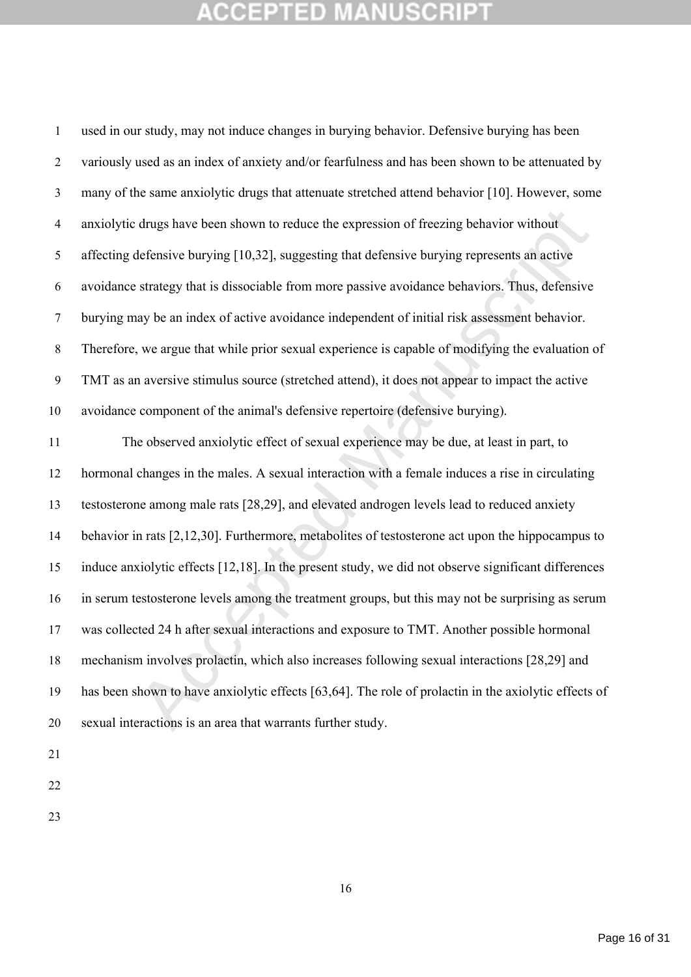drugs have been shown to reduce the expression of freezing behavior without<br>defensive burying [10,32], suggesting that defensive burying represents an active<br>strategy that is dissociable from more passive avoidance behavio used in our study, may not induce changes in burying behavior. Defensive burying has been variously used as an index of anxiety and/or fearfulness and has been shown to be attenuated by many of the same anxiolytic drugs that attenuate stretched attend behavior [10]. However, some anxiolytic drugs have been shown to reduce the expression of freezing behavior without affecting defensive burying [10,32], suggesting that defensive burying represents an active avoidance strategy that is dissociable from more passive avoidance behaviors. Thus, defensive burying may be an index of active avoidance independent of initial risk assessment behavior. Therefore, we argue that while prior sexual experience is capable of modifying the evaluation of TMT as an aversive stimulus source (stretched attend), it does not appear to impact the active avoidance component of the animal's defensive repertoire (defensive burying). The observed anxiolytic effect of sexual experience may be due, at least in part, to hormonal changes in the males. A sexual interaction with a female induces a rise in circulating testosterone among male rats [28,29], and elevated androgen levels lead to reduced anxiety behavior in rats [2,12,30]. Furthermore, metabolites of testosterone act upon the hippocampus to induce anxiolytic effects [12,18]. In the present study, we did not observe significant differences in serum testosterone levels among the treatment groups, but this may not be surprising as serum was collected 24 h after sexual interactions and exposure to TMT. Another possible hormonal mechanism involves prolactin, which also increases following sexual interactions [28,29] and has been shown to have anxiolytic effects [63,64]. The role of prolactin in the axiolytic effects of sexual interactions is an area that warrants further study.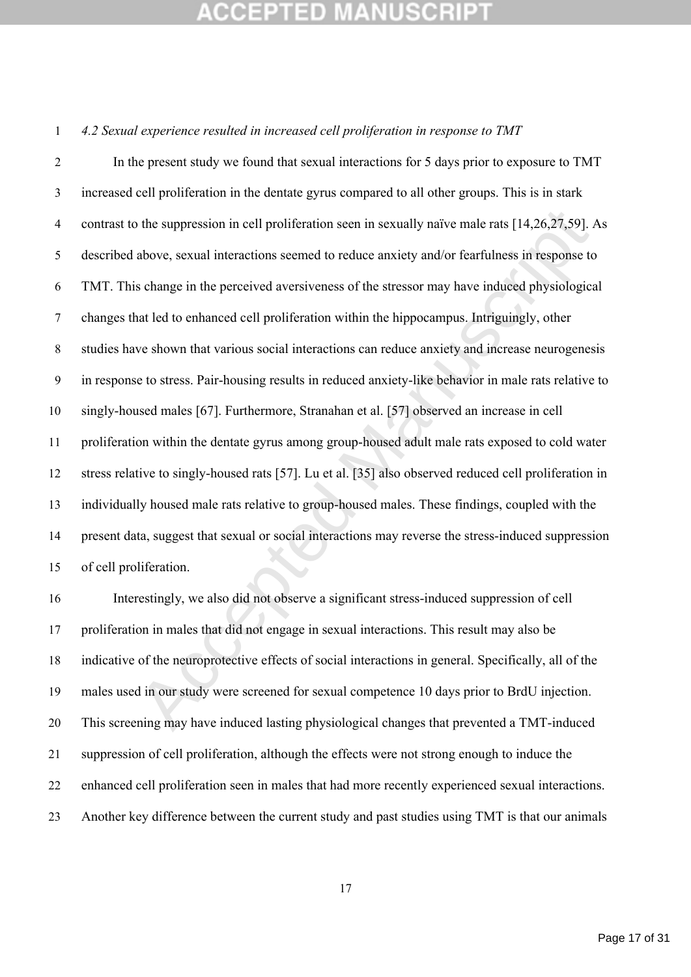*4.2 Sexual experience resulted in increased cell proliferation in response to TMT*

b the suppression in cell proliferation seen in sexually naive male rats [14,26,27,59]. Above, sexual interactions seemed to reduce anxiety and/or fearfulness in response to schange in the perceived aversiveness of the str In the present study we found that sexual interactions for 5 days prior to exposure to TMT increased cell proliferation in the dentate gyrus compared to all other groups. This is in stark contrast to the suppression in cell proliferation seen in sexually naïve male rats [14,26,27,59]. As described above, sexual interactions seemed to reduce anxiety and/or fearfulness in response to TMT. This change in the perceived aversiveness of the stressor may have induced physiological changes that led to enhanced cell proliferation within the hippocampus. Intriguingly, other studies have shown that various social interactions can reduce anxiety and increase neurogenesis in response to stress. Pair-housing results in reduced anxiety-like behavior in male rats relative to singly-housed males [67]. Furthermore, Stranahan et al. [57] observed an increase in cell proliferation within the dentate gyrus among group-housed adult male rats exposed to cold water stress relative to singly-housed rats [57]. Lu et al. [35] also observed reduced cell proliferation in individually housed male rats relative to group-housed males. These findings, coupled with the present data, suggest that sexual or social interactions may reverse the stress-induced suppression of cell proliferation.

 Interestingly, we also did not observe a significant stress-induced suppression of cell proliferation in males that did not engage in sexual interactions. This result may also be indicative of the neuroprotective effects of social interactions in general. Specifically, all of the males used in our study were screened for sexual competence 10 days prior to BrdU injection. This screening may have induced lasting physiological changes that prevented a TMT-induced suppression of cell proliferation, although the effects were not strong enough to induce the enhanced cell proliferation seen in males that had more recently experienced sexual interactions. Another key difference between the current study and past studies using TMT is that our animals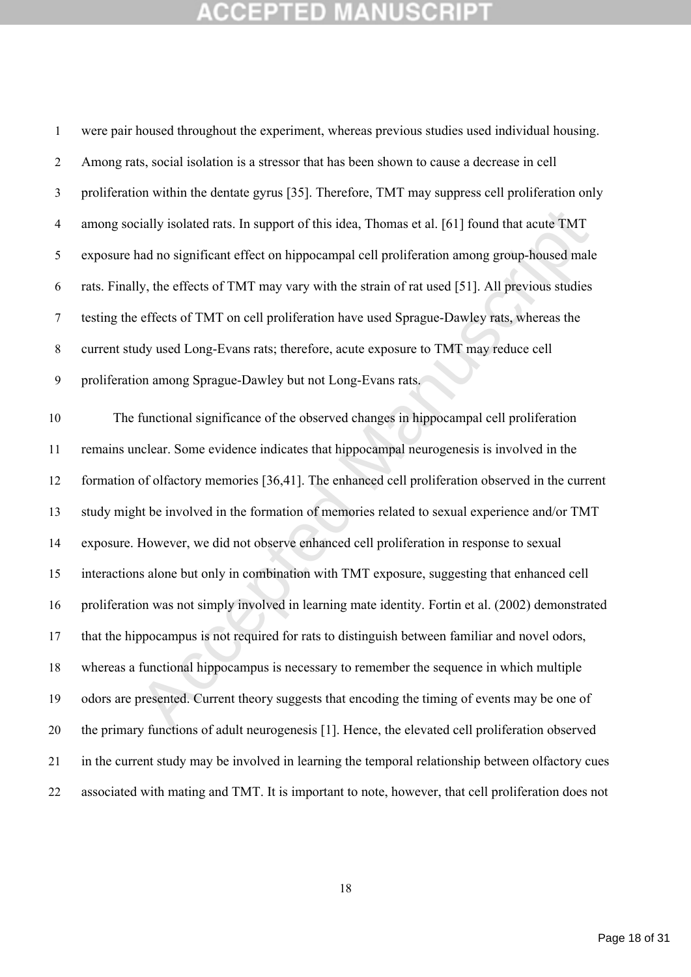cially isolated rats. In support of this idea, Thomas et al. [61] found that acute TMT<br>had no significant effect on hippocampal cell proliferation among group-housed male<br>ly, the effects of TMT may vary with the strain of were pair housed throughout the experiment, whereas previous studies used individual housing. Among rats, social isolation is a stressor that has been shown to cause a decrease in cell proliferation within the dentate gyrus [35]. Therefore, TMT may suppress cell proliferation only among socially isolated rats. In support of this idea, Thomas et al. [61] found that acute TMT exposure had no significant effect on hippocampal cell proliferation among group-housed male rats. Finally, the effects of TMT may vary with the strain of rat used [51]. All previous studies testing the effects of TMT on cell proliferation have used Sprague-Dawley rats, whereas the current study used Long-Evans rats; therefore, acute exposure to TMT may reduce cell proliferation among Sprague-Dawley but not Long-Evans rats. The functional significance of the observed changes in hippocampal cell proliferation remains unclear. Some evidence indicates that hippocampal neurogenesis is involved in the formation of olfactory memories [36,41]. The enhanced cell proliferation observed in the current study might be involved in the formation of memories related to sexual experience and/or TMT exposure. However, we did not observe enhanced cell proliferation in response to sexual interactions alone but only in combination with TMT exposure, suggesting that enhanced cell proliferation was not simply involved in learning mate identity. Fortin et al. (2002) demonstrated that the hippocampus is not required for rats to distinguish between familiar and novel odors, whereas a functional hippocampus is necessary to remember the sequence in which multiple odors are presented. Current theory suggests that encoding the timing of events may be one of the primary functions of adult neurogenesis [1]. Hence, the elevated cell proliferation observed in the current study may be involved in learning the temporal relationship between olfactory cues associated with mating and TMT. It is important to note, however, that cell proliferation does not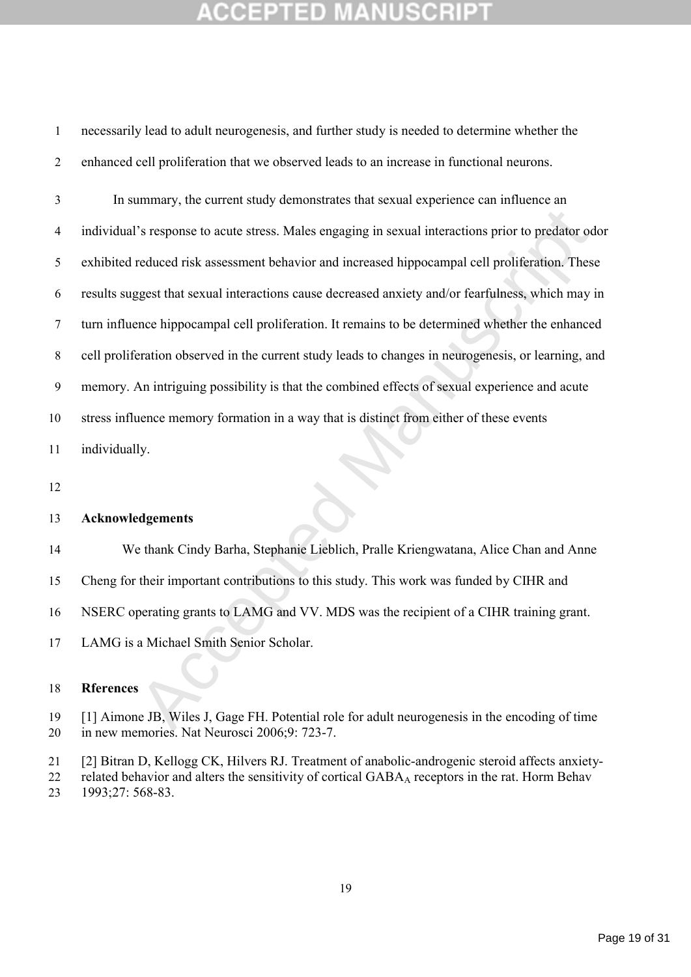necessarily lead to adult neurogenesis, and further study is needed to determine whether the enhanced cell proliferation that we observed leads to an increase in functional neurons.

<sup>2</sup>'s response to acute stress. Males engaging in sexual interactions prior to predator od<br>reduced risk assessment behavior and increased hippocampal cell proliferation. These<br>gest that sexual interactions cause decreased In summary, the current study demonstrates that sexual experience can influence an individual's response to acute stress. Males engaging in sexual interactions prior to predator odor exhibited reduced risk assessment behavior and increased hippocampal cell proliferation. These results suggest that sexual interactions cause decreased anxiety and/or fearfulness, which may in turn influence hippocampal cell proliferation. It remains to be determined whether the enhanced cell proliferation observed in the current study leads to changes in neurogenesis, or learning, and memory. An intriguing possibility is that the combined effects of sexual experience and acute stress influence memory formation in a way that is distinct from either of these events individually.

## **Acknowledgements**

We thank Cindy Barha, Stephanie Lieblich, Pralle Kriengwatana, Alice Chan and Anne

Cheng for their important contributions to this study. This work was funded by CIHR and

NSERC operating grants to LAMG and VV. MDS was the recipient of a CIHR training grant.

LAMG is a Michael Smith Senior Scholar.

## **Rferences**

 [1] Aimone JB, Wiles J, Gage FH. Potential role for adult neurogenesis in the encoding of time in new memories. Nat Neurosci 2006;9: 723-7.

 [2] Bitran D, Kellogg CK, Hilvers RJ. Treatment of anabolic-androgenic steroid affects anxiety-22 related behavior and alters the sensitivity of cortical GABA<sub>A</sub> receptors in the rat. Horm Behav

1993;27: 568-83.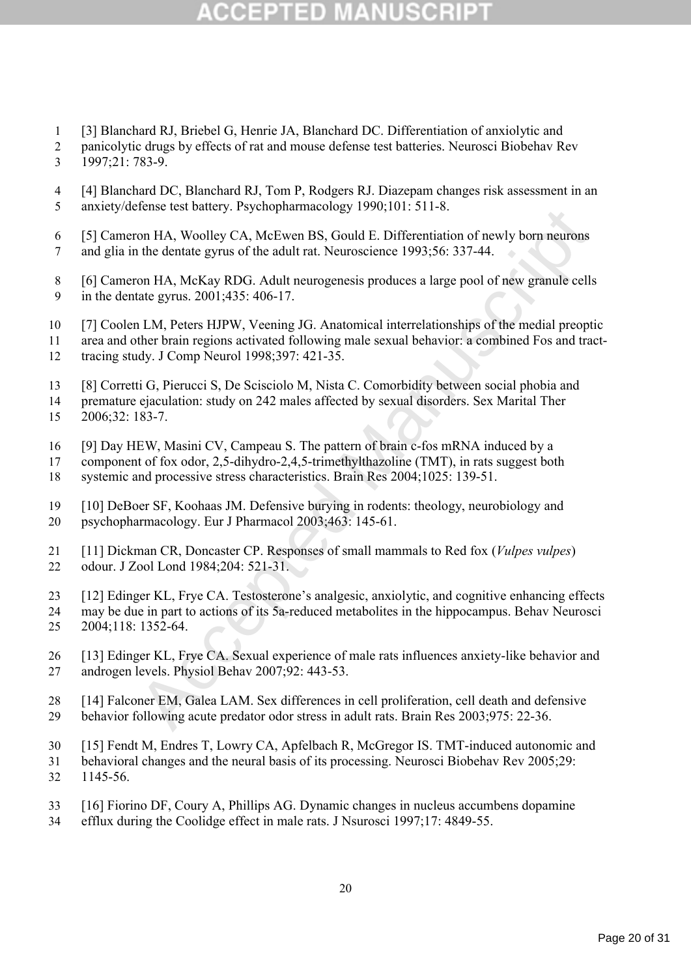# s d

- [3] Blanchard RJ, Briebel G, Henrie JA, Blanchard DC. Differentiation of anxiolytic and
- 2 panicolytic drugs by effects of rat and mouse defense test batteries. Neurosci Biobehav Rev 1997;21: 783-9.
- [4] Blanchard DC, Blanchard RJ, Tom P, Rodgers RJ. Diazepam changes risk assessment in an anxiety/defense test battery. Psychopharmacology 1990;101: 511-8.
- [5] Cameron HA, Woolley CA, McEwen BS, Gould E. Differentiation of newly born neurons
- and glia in the dentate gyrus of the adult rat. Neuroscience 1993;56: 337-44.
- [6] Cameron HA, McKay RDG. Adult neurogenesis produces a large pool of new granule cells in the dentate gyrus. 2001;435: 406-17.
- [7] Coolen LM, Peters HJPW, Veening JG. Anatomical interrelationships of the medial preoptic
- area and other brain regions activated following male sexual behavior: a combined Fos and tract-
- tracing study. J Comp Neurol 1998;397: 421-35.
- [8] Corretti G, Pierucci S, De Scisciolo M, Nista C. Comorbidity between social phobia and
- premature ejaculation: study on 242 males affected by sexual disorders. Sex Marital Ther
- 2006;32: 183-7.
- [9] Day HEW, Masini CV, Campeau S. The pattern of brain c-fos mRNA induced by a
- component of fox odor, 2,5-dihydro-2,4,5-trimethylthazoline (TMT), in rats suggest both systemic and processive stress characteristics. Brain Res 2004;1025: 139-51.
- [10] DeBoer SF, Koohaas JM. Defensive burying in rodents: theology, neurobiology and psychopharmacology. Eur J Pharmacol 2003;463: 145-61.
- [11] Dickman CR, Doncaster CP. Responses of small mammals to Red fox (*Vulpes vulpes*) odour. J Zool Lond 1984;204: 521-31.
- [12] Edinger KL, Frye CA. Testosterone's analgesic, anxiolytic, and cognitive enhancing effects
- may be due in part to actions of its 5a-reduced metabolites in the hippocampus. Behav Neurosci
- 2004;118: 1352-64.
- velise test battery. rsychopharmacology 1990,101. 311-8.<br>The dentate gytus of the adult rat. Neuvembs, Gould E. Differentiation of newly born neurons<br>of the dentate gytus of the adult rat. Neuroscience 1993;56: 337-44.<br>The [13] Edinger KL, Frye CA. Sexual experience of male rats influences anxiety-like behavior and androgen levels. Physiol Behav 2007;92: 443-53.
- [14] Falconer EM, Galea LAM. Sex differences in cell proliferation, cell death and defensive behavior following acute predator odor stress in adult rats. Brain Res 2003;975: 22-36.
- [15] Fendt M, Endres T, Lowry CA, Apfelbach R, McGregor IS. TMT-induced autonomic and
- behavioral changes and the neural basis of its processing. Neurosci Biobehav Rev 2005;29: 1145-56.
- [16] Fiorino DF, Coury A, Phillips AG. Dynamic changes in nucleus accumbens dopamine
- efflux during the Coolidge effect in male rats. J Nsurosci 1997;17: 4849-55.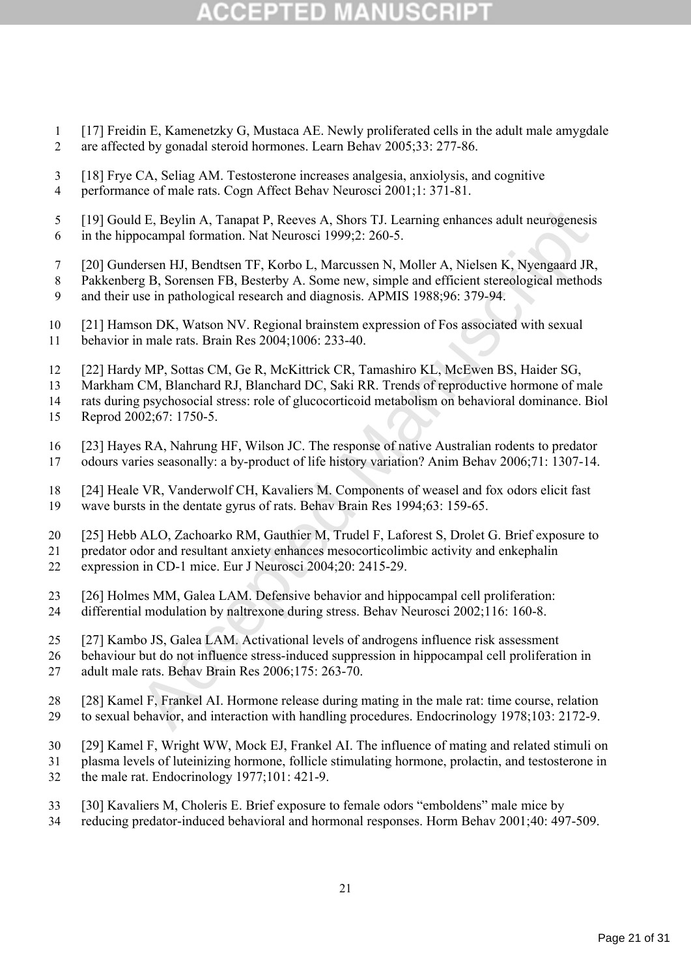# (CEPTED)

 [17] Freidin E, Kamenetzky G, Mustaca AE. Newly proliferated cells in the adult male amygdale are affected by gonadal steroid hormones. Learn Behav 2005;33: 277-86.

 [19] Gould E, Beylin A, Tanapat P, Reeves A, Shors TJ. Learning enhances adult neurogenesis in the hippocampal formation. Nat Neurosci 1999;2: 260-5.

- [20] Gundersen HJ, Bendtsen TF, Korbo L, Marcussen N, Moller A, Nielsen K, Nyengaard JR,
- Pakkenberg B, Sorensen FB, Besterby A. Some new, simple and efficient stereological methods
- and their use in pathological research and diagnosis. APMIS 1988;96: 379-94.
- [21] Hamson DK, Watson NV. Regional brainstem expression of Fos associated with sexual behavior in male rats. Brain Res 2004;1006: 233-40.
- [22] Hardy MP, Sottas CM, Ge R, McKittrick CR, Tamashiro KL, McEwen BS, Haider SG,

Markham CM, Blanchard RJ, Blanchard DC, Saki RR. Trends of reproductive hormone of male

rats during psychosocial stress: role of glucocorticoid metabolism on behavioral dominance. Biol

- Reprod 2002;67: 1750-5.
- [23] Hayes RA, Nahrung HF, Wilson JC. The response of native Australian rodents to predator odours varies seasonally: a by-product of life history variation? Anim Behav 2006;71: 1307-14.
- [24] Heale VR, Vanderwolf CH, Kavaliers M. Components of weasel and fox odors elicit fast wave bursts in the dentate gyrus of rats. Behav Brain Res 1994;63: 159-65.
- [25] Hebb ALO, Zachoarko RM, Gauthier M, Trudel F, Laforest S, Drolet G. Brief exposure to
- predator odor and resultant anxiety enhances mesocorticolimbic activity and enkephalin expression in CD-1 mice. Eur J Neurosci 2004;20: 2415-29.
- 
- [26] Holmes MM, Galea LAM. Defensive behavior and hippocampal cell proliferation:
- differential modulation by naltrexone during stress. Behav Neurosci 2002;116: 160-8.
- [27] Kambo JS, Galea LAM. Activational levels of androgens influence risk assessment
- behaviour but do not influence stress-induced suppression in hippocampal cell proliferation in
- adult male rats. Behav Brain Res 2006;175: 263-70.
- d E, Beylin A, Tanapat P, Reeves A, Shors TJ. Learning enhances adult neurogenesis<br>occampal formation. Nat Neurosci 1999:2: 260-5.<br>
respectives and H, Bendiscript T, Korbo L, Marcussen N, Moller A, Nielsen K, Nyengaard JR, [28] Kamel F, Frankel AI. Hormone release during mating in the male rat: time course, relation to sexual behavior, and interaction with handling procedures. Endocrinology 1978;103: 2172-9.
- [29] Kamel F, Wright WW, Mock EJ, Frankel AI. The influence of mating and related stimuli on
- plasma levels of luteinizing hormone, follicle stimulating hormone, prolactin, and testosterone in
- the male rat. Endocrinology 1977;101: 421-9.
- [30] Kavaliers M, Choleris E. Brief exposure to female odors "emboldens" male mice by
- reducing predator-induced behavioral and hormonal responses. Horm Behav 2001;40: 497-509.

 [18] Frye CA, Seliag AM. Testosterone increases analgesia, anxiolysis, and cognitive performance of male rats. Cogn Affect Behav Neurosci 2001;1: 371-81.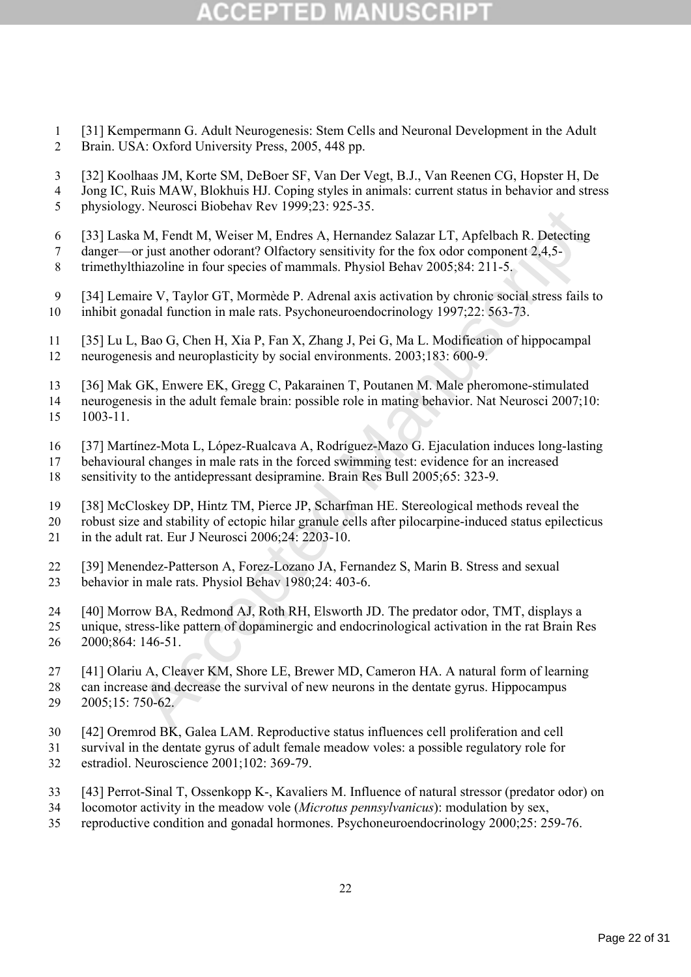# (CEPTED)

- [31] Kempermann G. Adult Neurogenesis: Stem Cells and Neuronal Development in the Adult Brain. USA: Oxford University Press, 2005, 448 pp.
- [32] Koolhaas JM, Korte SM, DeBoer SF, Van Der Vegt, B.J., Van Reenen CG, Hopster H, De
- Jong IC, Ruis MAW, Blokhuis HJ. Coping styles in animals: current status in behavior and stress
- physiology. Neurosci Biobehav Rev 1999;23: 925-35.
- [33] Laska M, Fendt M, Weiser M, Endres A, Hernandez Salazar LT, Apfelbach R. Detecting
- danger—or just another odorant? Olfactory sensitivity for the fox odor component 2,4,5-
- trimethylthiazoline in four species of mammals. Physiol Behav 2005;84: 211-5.
- [34] Lemaire V, Taylor GT, Mormède P. Adrenal axis activation by chronic social stress fails to inhibit gonadal function in male rats. Psychoneuroendocrinology 1997;22: 563-73.
- [35] Lu L, Bao G, Chen H, Xia P, Fan X, Zhang J, Pei G, Ma L. Modification of hippocampal neurogenesis and neuroplasticity by social environments. 2003;183: 600-9.
- [36] Mak GK, Enwere EK, Gregg C, Pakarainen T, Poutanen M. Male pheromone-stimulated
- neurogenesis in the adult female brain: possible role in mating behavior. Nat Neurosci 2007;10: 1003-11.
- [37] Martínez-Mota L, López-Rualcava A, Rodríguez-Mazo G. Ejaculation induces long-lasting
- behavioural changes in male rats in the forced swimming test: evidence for an increased
- sensitivity to the antidepressant desipramine. Brain Res Bull 2005;65: 323-9.
- [38] McCloskey DP, Hintz TM, Pierce JP, Scharfman HE. Stereological methods reveal the
- robust size and stability of ectopic hilar granule cells after pilocarpine-induced status epilecticus in the adult rat. Eur J Neurosci 2006;24: 2203-10.
- [39] Menendez-Patterson A, Forez-Lozano JA, Fernandez S, Marin B. Stress and sexual behavior in male rats. Physiol Behav 1980;24: 403-6.
- [40] Morrow BA, Redmond AJ, Roth RH, Elsworth JD. The predator odor, TMT, displays a
- y. Neutroscr Biotelala Nev 1999, 25. 923-53.<br>
M. Fendt M, Weiser M, Endres A, Hermandez Salazar LT, Apfelbach R. Detecting<br>
M. Fendt M, Weiser M, Endres A, Hermandez Salazar LT, Apfelbach R. Detecting<br>
or it is another odo unique, stress-like pattern of dopaminergic and endocrinological activation in the rat Brain Res 2000;864: 146-51.
- [41] Olariu A, Cleaver KM, Shore LE, Brewer MD, Cameron HA. A natural form of learning
- can increase and decrease the survival of new neurons in the dentate gyrus. Hippocampus 2005;15: 750-62.
- [42] Oremrod BK, Galea LAM. Reproductive status influences cell proliferation and cell
- survival in the dentate gyrus of adult female meadow voles: a possible regulatory role for estradiol. Neuroscience 2001;102: 369-79.
- [43] Perrot-Sinal T, Ossenkopp K-, Kavaliers M. Influence of natural stressor (predator odor) on
- locomotor activity in the meadow vole (*Microtus pennsylvanicus*): modulation by sex,
- reproductive condition and gonadal hormones. Psychoneuroendocrinology 2000;25: 259-76.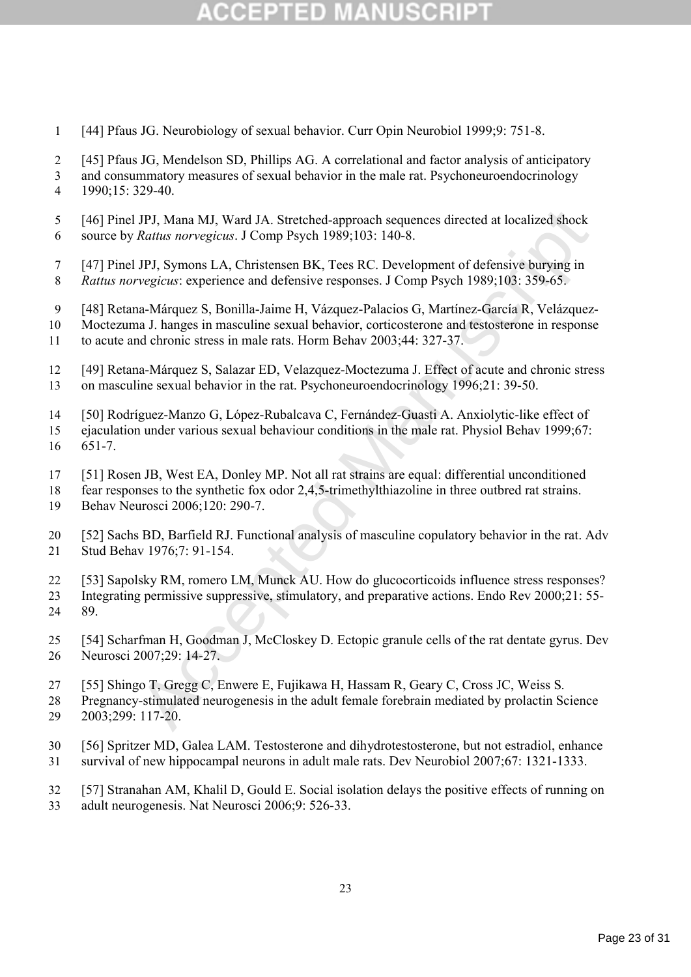# COEPTED

- [44] Pfaus JG. Neurobiology of sexual behavior. Curr Opin Neurobiol 1999;9: 751-8.
- [45] Pfaus JG, Mendelson SD, Phillips AG. A correlational and factor analysis of anticipatory
- and consummatory measures of sexual behavior in the male rat. Psychoneuroendocrinology 1990;15: 329-40.
- [46] Pinel JPJ, Mana MJ, Ward JA. Stretched-approach sequences directed at localized shock source by *Rattus norvegicus*. J Comp Psych 1989;103: 140-8.
- [47] Pinel JPJ, Symons LA, Christensen BK, Tees RC. Development of defensive burying in *Rattus norvegicus*: experience and defensive responses. J Comp Psych 1989;103: 359-65.
- [48] Retana-Márquez S, Bonilla-Jaime H, Vázquez-Palacios G, Martínez-García R, Velázquez-
- Moctezuma J. hanges in masculine sexual behavior, corticosterone and testosterone in response
- to acute and chronic stress in male rats. Horm Behav 2003;44: 327-37.
- [49] Retana-Márquez S, Salazar ED, Velazquez-Moctezuma J. Effect of acute and chronic stress on masculine sexual behavior in the rat. Psychoneuroendocrinology 1996;21: 39-50.
- [50] Rodríguez-Manzo G, López-Rubalcava C, Fernández-Guasti A. Anxiolytic-like effect of
- ejaculation under various sexual behaviour conditions in the male rat. Physiol Behav 1999;67: 651-7.
- [51] Rosen JB, West EA, Donley MP. Not all rat strains are equal: differential unconditioned
- fear responses to the synthetic fox odor 2,4,5-trimethylthiazoline in three outbred rat strains.
- Behav Neurosci 2006;120: 290-7.
- [52] Sachs BD, Barfield RJ. Functional analysis of masculine copulatory behavior in the rat. Adv Stud Behav 1976;7: 91-154.
- JPJ, Mana MJ, Ward JA. Stretched-approach sequences directed at localized shock<br> *Rattus norvegicus.* J Comp Psych 1989;103: 140-8.<br>
JPJ, Symons LA, Christensn BK, Tees RC. Development of defensive burying in<br>
JPJ, Symons [53] Sapolsky RM, romero LM, Munck AU. How do glucocorticoids influence stress responses? Integrating permissive suppressive, stimulatory, and preparative actions. Endo Rev 2000;21: 55- 89.
- [54] Scharfman H, Goodman J, McCloskey D. Ectopic granule cells of the rat dentate gyrus. Dev Neurosci 2007;29: 14-27.
- [55] Shingo T, Gregg C, Enwere E, Fujikawa H, Hassam R, Geary C, Cross JC, Weiss S.
- Pregnancy-stimulated neurogenesis in the adult female forebrain mediated by prolactin Science 2003;299: 117-20.
- [56] Spritzer MD, Galea LAM. Testosterone and dihydrotestosterone, but not estradiol, enhance survival of new hippocampal neurons in adult male rats. Dev Neurobiol 2007;67: 1321-1333.
- [57] Stranahan AM, Khalil D, Gould E. Social isolation delays the positive effects of running on
- adult neurogenesis. Nat Neurosci 2006;9: 526-33.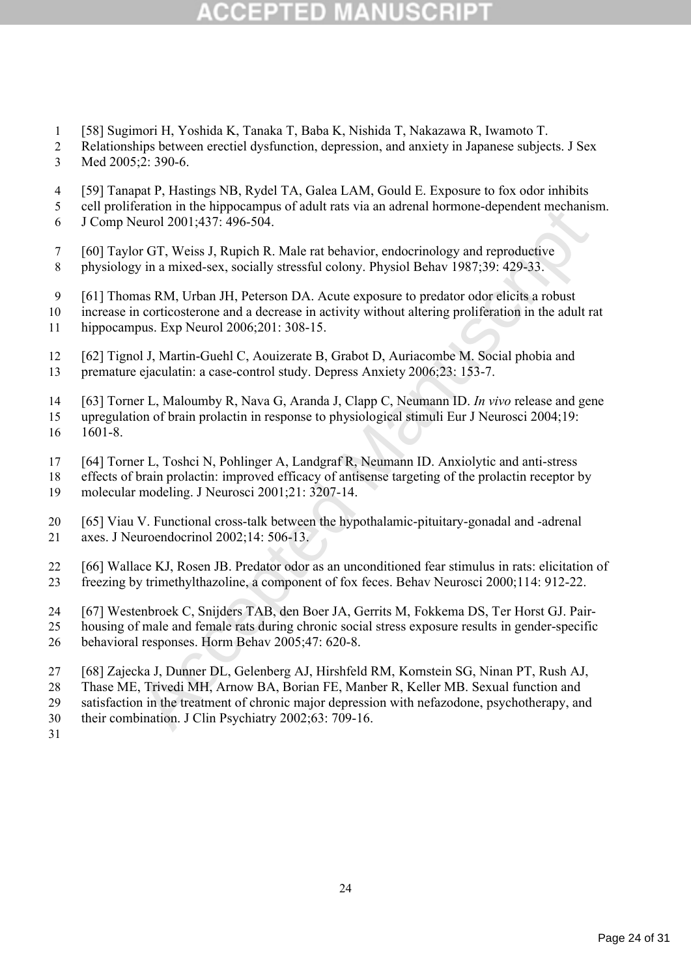# COEPIED

- [58] Sugimori H, Yoshida K, Tanaka T, Baba K, Nishida T, Nakazawa R, Iwamoto T.
- Relationships between erectiel dysfunction, depression, and anxiety in Japanese subjects. J Sex Med 2005;2: 390-6.
- [59] Tanapat P, Hastings NB, Rydel TA, Galea LAM, Gould E. Exposure to fox odor inhibits
- cell proliferation in the hippocampus of adult rats via an adrenal hormone-dependent mechanism.
- J Comp Neurol 2001;437: 496-504.
- [60] Taylor GT, Weiss J, Rupich R. Male rat behavior, endocrinology and reproductive physiology in a mixed-sex, socially stressful colony. Physiol Behav 1987;39: 429-33.
- [61] Thomas RM, Urban JH, Peterson DA. Acute exposure to predator odor elicits a robust
- increase in corticosterone and a decrease in activity without altering proliferation in the adult rat hippocampus. Exp Neurol 2006;201: 308-15.
- [62] Tignol J, Martin-Guehl C, Aouizerate B, Grabot D, Auriacombe M. Social phobia and premature ejaculatin: a case-control study. Depress Anxiety 2006;23: 153-7.
- [63] Torner L, Maloumby R, Nava G, Aranda J, Clapp C, Neumann ID. *In vivo* release and gene
- upregulation of brain prolactin in response to physiological stimuli Eur J Neurosci 2004;19: 1601-8.
- [64] Torner L, Toshci N, Pohlinger A, Landgraf R, Neumann ID. Anxiolytic and anti-stress
- eratori in the mipplocanipus of autorias via all auterian nonnone-adependent interaliation<br>
eurol 2001;437: 496-504.<br>
or GT, Weiss J, Rupich R. Male rat behavior, endocrinology and reproductive<br>
y in a mixed-sex, socially effects of brain prolactin: improved efficacy of antisense targeting of the prolactin receptor by molecular modeling. J Neurosci 2001;21: 3207-14.
- [65] Viau V. Functional cross-talk between the hypothalamic-pituitary-gonadal and -adrenal axes. J Neuroendocrinol 2002;14: 506-13.
- [66] Wallace KJ, Rosen JB. Predator odor as an unconditioned fear stimulus in rats: elicitation of freezing by trimethylthazoline, a component of fox feces. Behav Neurosci 2000;114: 912-22.
- [67] Westenbroek C, Snijders TAB, den Boer JA, Gerrits M, Fokkema DS, Ter Horst GJ. Pair-
- housing of male and female rats during chronic social stress exposure results in gender-specific behavioral responses. Horm Behav 2005;47: 620-8.
- [68] Zajecka J, Dunner DL, Gelenberg AJ, Hirshfeld RM, Kornstein SG, Ninan PT, Rush AJ,
- Thase ME, Trivedi MH, Arnow BA, Borian FE, Manber R, Keller MB. Sexual function and
- satisfaction in the treatment of chronic major depression with nefazodone, psychotherapy, and
- their combination. J Clin Psychiatry 2002;63: 709-16.
-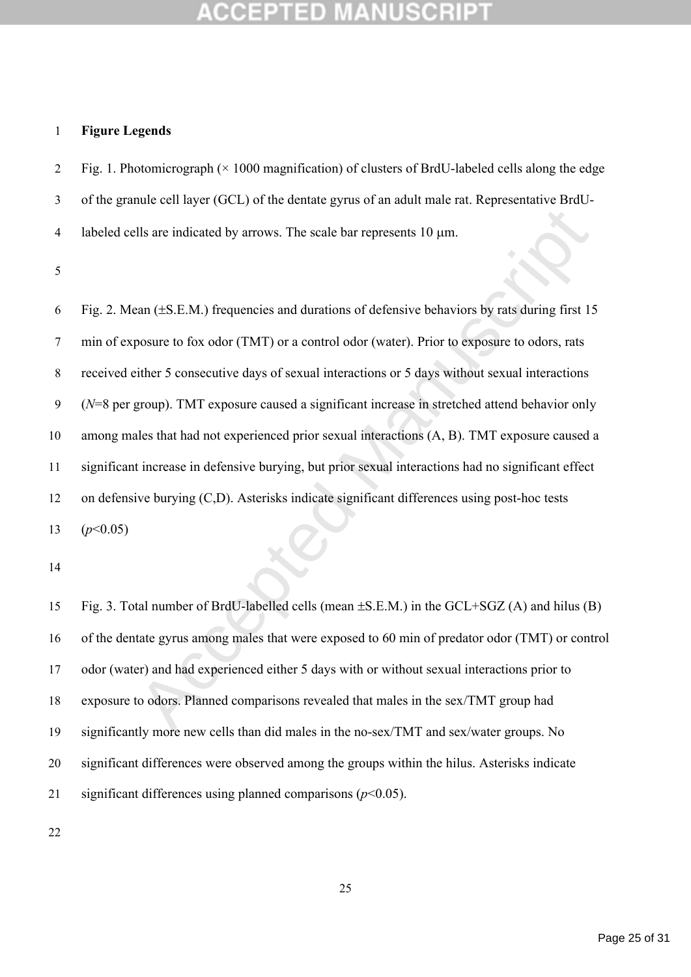## **Figure Legends**

2 Fig. 1. Photomicrograph  $(\times 1000$  magnification) of clusters of BrdU-labeled cells along the edge of the granule cell layer (GCL) of the dentate gyrus of an adult male rat. Representative BrdU-

4 labeled cells are indicated by arrows. The scale bar represents  $10 \mu m$ .

Ils are indicated by arrows. The scale bar represents 10  $\mu$ m.<br>
And ( $\pm$ S.E.M.) frequencies and durations of defensive behaviors by rats during first 15<br>
posure to fox odor (TMT) or a control odor (water). Prior to expo 6 Fig. 2. Mean  $(\pm S.E.M.)$  frequencies and durations of defensive behaviors by rats during first 15 min of exposure to fox odor (TMT) or a control odor (water). Prior to exposure to odors, rats received either 5 consecutive days of sexual interactions or 5 days without sexual interactions (*N*=8 per group). TMT exposure caused a significant increase in stretched attend behavior only among males that had not experienced prior sexual interactions (A, B). TMT exposure caused a significant increase in defensive burying, but prior sexual interactions had no significant effect on defensive burying (C,D). Asterisks indicate significant differences using post-hoc tests 13  $(p<0.05)$ 

15 Fig. 3. Total number of BrdU-labelled cells (mean  $\pm$ S.E.M.) in the GCL+SGZ (A) and hilus (B) of the dentate gyrus among males that were exposed to 60 min of predator odor (TMT) or control odor (water) and had experienced either 5 days with or without sexual interactions prior to exposure to odors. Planned comparisons revealed that males in the sex/TMT group had significantly more new cells than did males in the no-sex/TMT and sex/water groups. No significant differences were observed among the groups within the hilus. Asterisks indicate significant differences using planned comparisons (*p*<0.05).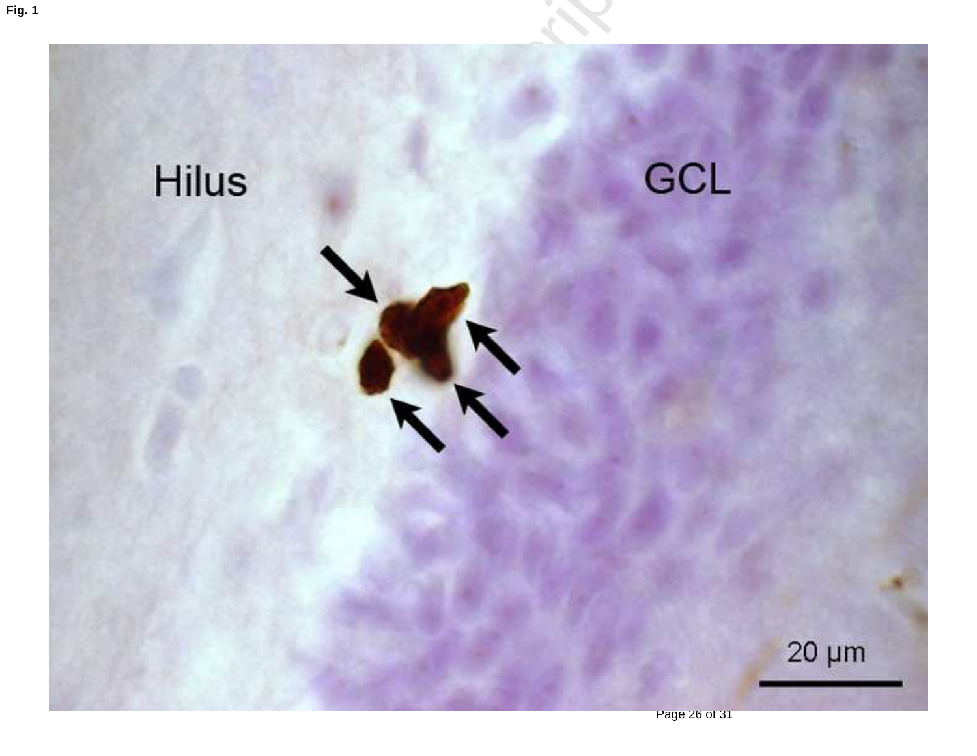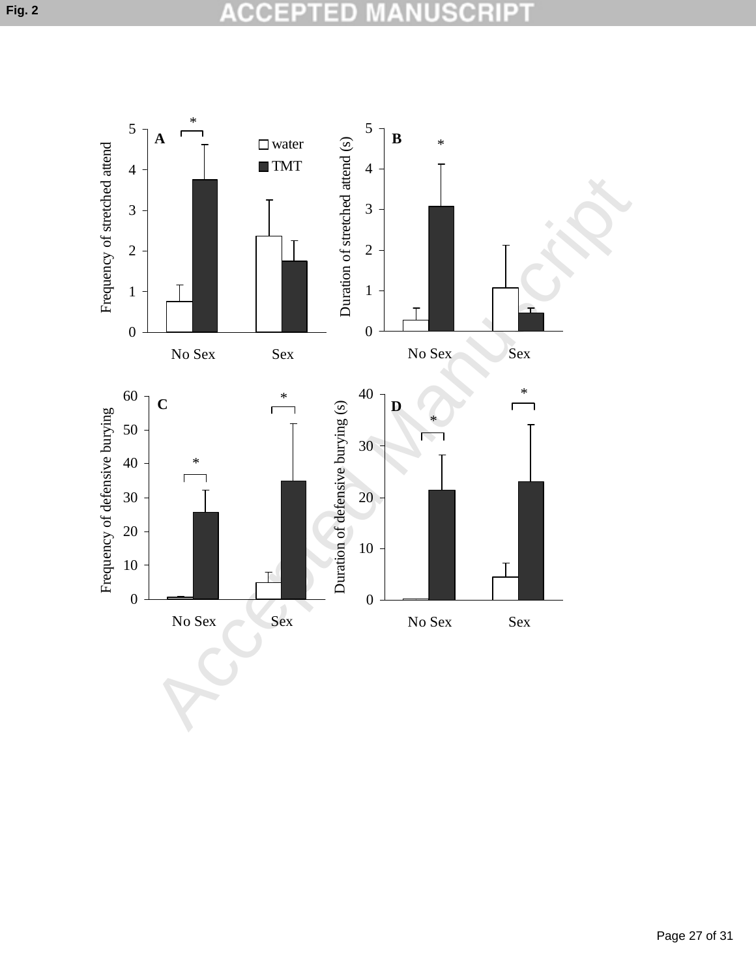### СC **SCRIPT** 公 D U

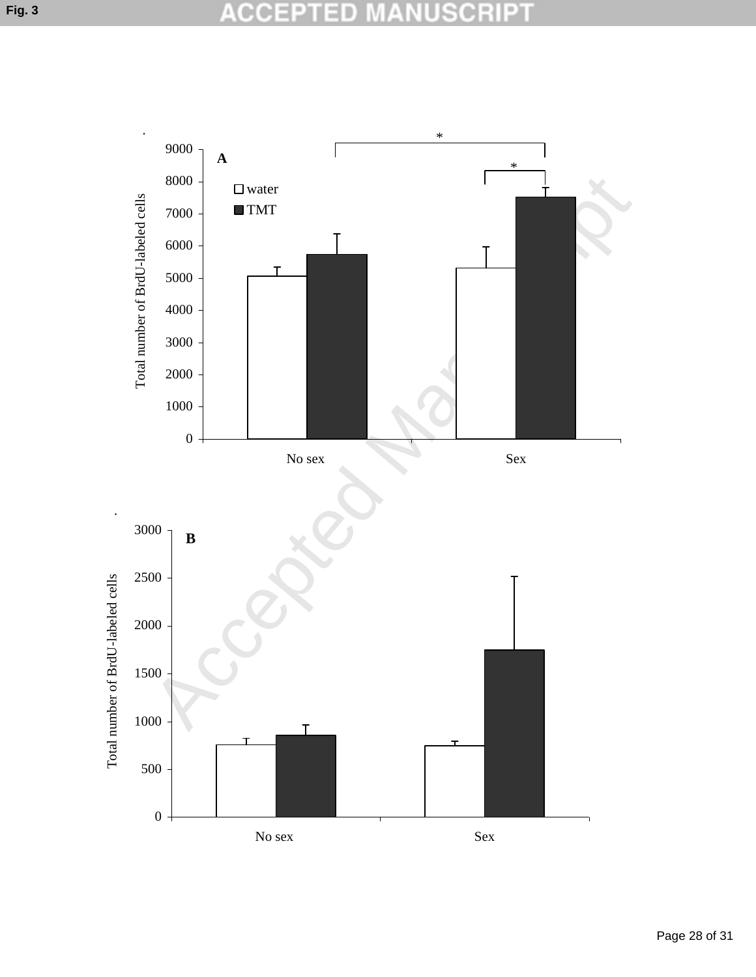### **ACCE SCRIPT** D n

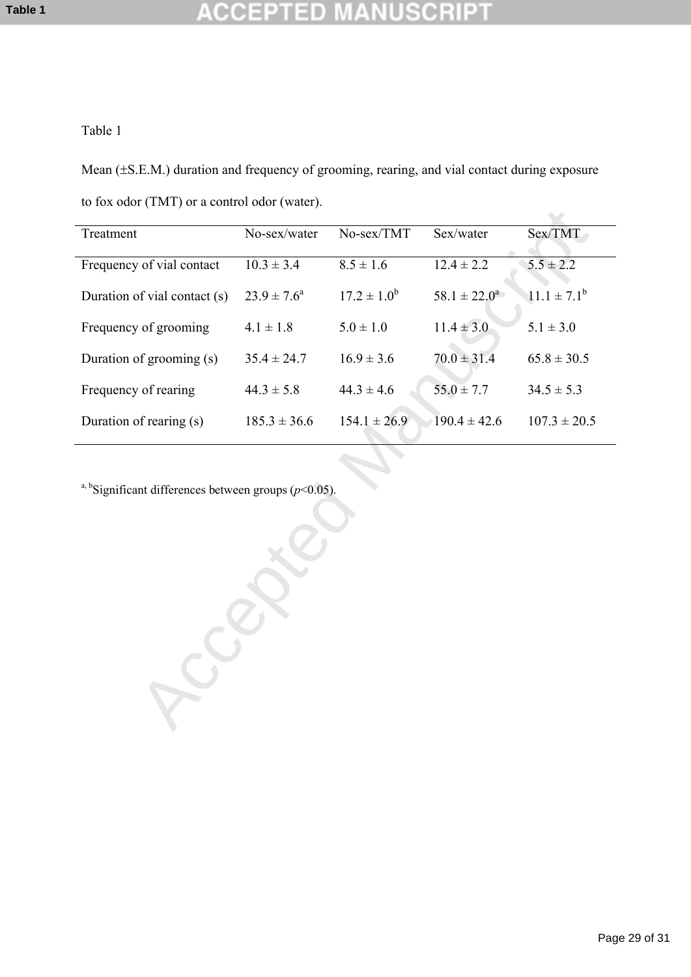### USCR CCEPTED P

## Table 1

Mean  $(±S.E.M.)$  duration and frequency of grooming, rearing, and vial contact during exposure to fox odor (TMT) or a control odor (water).

| Treatment                                                            | No-sex/water     | No-sex/TMT       | Sex/water         | Sex/TMT          |
|----------------------------------------------------------------------|------------------|------------------|-------------------|------------------|
| Frequency of vial contact                                            | $10.3 \pm 3.4$   | $8.5 \pm 1.6$    | $12.4 \pm 2.2$    | $5.5 \pm 2.2$    |
| Duration of vial contact (s)                                         | $23.9 \pm 7.6^a$ | $17.2 \pm 1.0^b$ | $58.1 \pm 22.0^a$ | $11.1 \pm 7.1^b$ |
| Frequency of grooming                                                | $4.1 \pm 1.8$    | $5.0 \pm 1.0$    | $11.4 \pm 3.0$    | $5.1 \pm 3.0$    |
| Duration of grooming (s)                                             | $35.4 \pm 24.7$  | $16.9 \pm 3.6$   | $70.0 \pm 31.4$   | $65.8 \pm 30.5$  |
| Frequency of rearing                                                 | $44.3 \pm 5.8$   | $44.3 \pm 4.6$   | $55.0 \pm 7.7$    | $34.5 \pm 5.3$   |
| Duration of rearing (s)                                              | $185.3 \pm 36.6$ | $154.1 \pm 26.9$ | $190.4 \pm 42.6$  | $107.3 \pm 20.5$ |
| <sup>a, b</sup> Significant differences between groups ( $p$ <0.05). |                  |                  |                   |                  |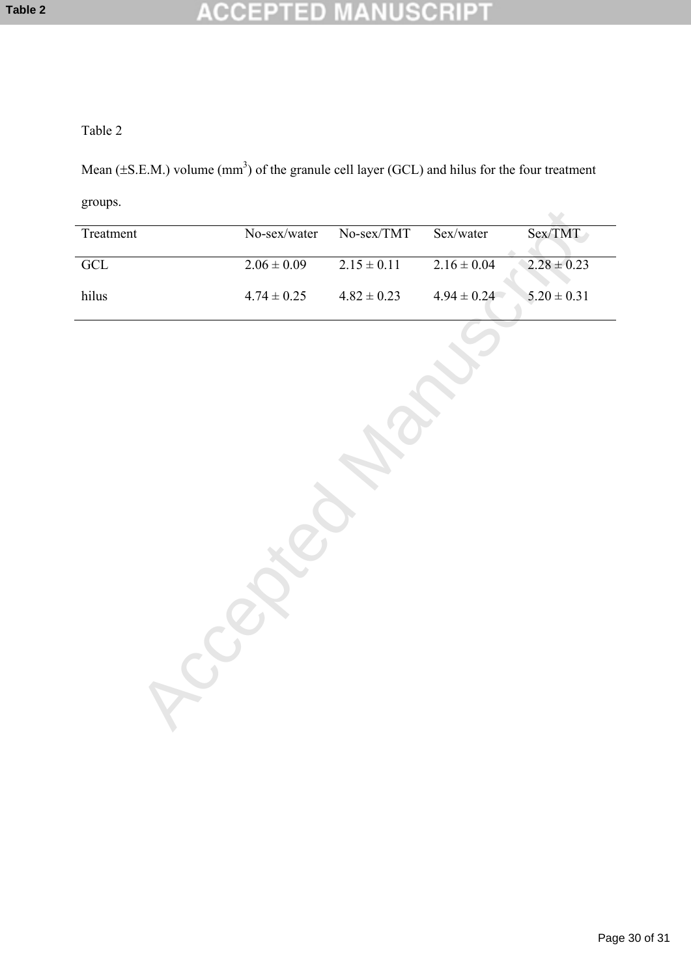### **NUSCRIPT CCEPTED** Ŧ

## Table 2

Mean ( $\pm$ S.E.M.) volume (mm<sup>3</sup>) of the granule cell layer (GCL) and hilus for the four treatment

groups.

| Treatment               | No-sex/water    | No-sex/TMT      | Sex/water       | Sex/TMT         |  |
|-------------------------|-----------------|-----------------|-----------------|-----------------|--|
| $\overline{\text{GCL}}$ | $2.06 \pm 0.09$ | $2.15 \pm 0.11$ | $2.16 \pm 0.04$ | $2.28 \pm 0.23$ |  |
| hilus                   | $4.74\pm0.25$   | $4.82\pm0.23$   | $4.94\pm0.24$   | $5.20 \pm 0.31$ |  |
|                         |                 |                 |                 |                 |  |
|                         |                 |                 |                 |                 |  |